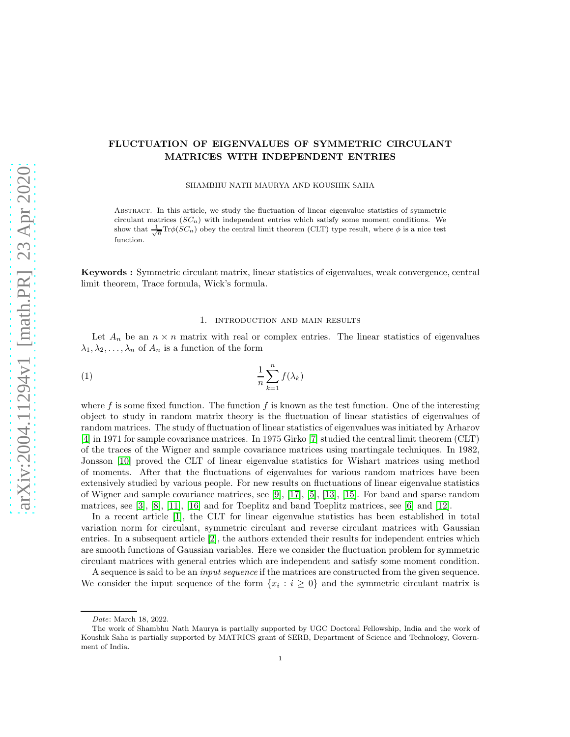# FLUCTUATION OF EIGENVALUES OF SYMMETRIC CIRCULANT MATRICES WITH INDEPENDENT ENTRIES

SHAMBHU NATH MAURYA AND KOUSHIK SAHA

Abstract. In this article, we study the fluctuation of linear eigenvalue statistics of symmetric circulant matrices  $(SC_n)$  with independent entries which satisfy some moment conditions. We show that  $\frac{1}{\sqrt{n}} \text{Tr} \phi(SC_n)$  obey the central limit theorem (CLT) type result, where  $\phi$  is a nice test function.

Keywords : Symmetric circulant matrix, linear statistics of eigenvalues, weak convergence, central limit theorem, Trace formula, Wick's formula.

#### <span id="page-0-0"></span>1. introduction and main results

Let  $A_n$  be an  $n \times n$  matrix with real or complex entries. The linear statistics of eigenvalues  $\lambda_1, \lambda_2, \ldots, \lambda_n$  of  $A_n$  is a function of the form

$$
\frac{1}{n}\sum_{k=1}^{n}f(\lambda_k)
$$

where f is some fixed function. The function f is known as the test function. One of the interesting object to study in random matrix theory is the fluctuation of linear statistics of eigenvalues of random matrices. The study of fluctuation of linear statistics of eigenvalues was initiated by Arharov [\[4\]](#page-17-0) in 1971 for sample covariance matrices. In 1975 Girko [\[7\]](#page-18-0) studied the central limit theorem (CLT) of the traces of the Wigner and sample covariance matrices using martingale techniques. In 1982, Jonsson [\[10\]](#page-18-1) proved the CLT of linear eigenvalue statistics for Wishart matrices using method of moments. After that the fluctuations of eigenvalues for various random matrices have been extensively studied by various people. For new results on fluctuations of linear eigenvalue statistics of Wigner and sample covariance matrices, see [\[9\]](#page-18-2), [\[17\]](#page-18-3), [\[5\]](#page-18-4), [\[13\]](#page-18-5), [\[15\]](#page-18-6). For band and sparse random matrices, see [\[3\]](#page-17-1), [\[8\]](#page-18-7), [\[11\]](#page-18-8), [\[16\]](#page-18-9) and for Toeplitz and band Toeplitz matrices, see [\[6\]](#page-18-10) and [\[12\]](#page-18-11).

In a recent article [\[1\]](#page-17-2), the CLT for linear eigenvalue statistics has been established in total variation norm for circulant, symmetric circulant and reverse circulant matrices with Gaussian entries. In a subsequent article [\[2\]](#page-17-3), the authors extended their results for independent entries which are smooth functions of Gaussian variables. Here we consider the fluctuation problem for symmetric circulant matrices with general entries which are independent and satisfy some moment condition.

A sequence is said to be an input sequence if the matrices are constructed from the given sequence. We consider the input sequence of the form  $\{x_i : i \geq 0\}$  and the symmetric circulant matrix is

Date: March 18, 2022.

The work of Shambhu Nath Maurya is partially supported by UGC Doctoral Fellowship, India and the work of Koushik Saha is partially supported by MATRICS grant of SERB, Department of Science and Technology, Government of India.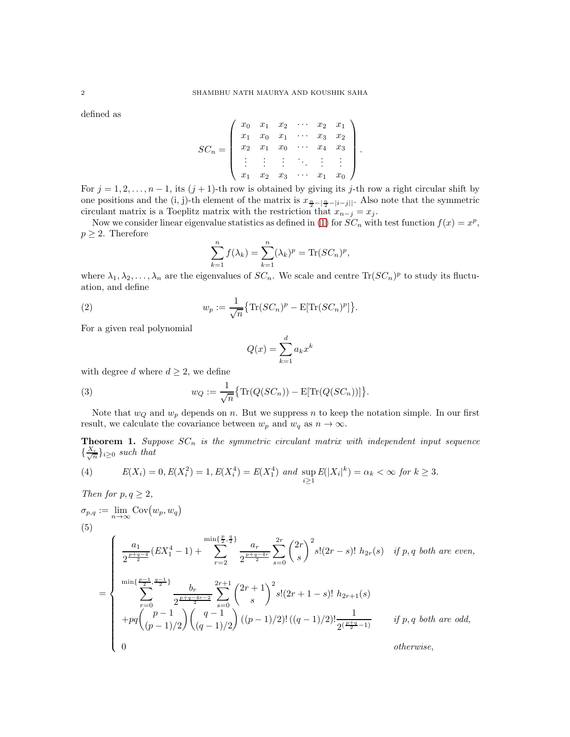defined as

$$
SC_n = \left( \begin{array}{cccccc} x_0 & x_1 & x_2 & \cdots & x_2 & x_1 \\ x_1 & x_0 & x_1 & \cdots & x_3 & x_2 \\ x_2 & x_1 & x_0 & \cdots & x_4 & x_3 \\ \vdots & \vdots & \vdots & \ddots & \vdots & \vdots \\ x_1 & x_2 & x_3 & \cdots & x_1 & x_0 \end{array} \right).
$$

For  $j = 1, 2, \ldots, n - 1$ , its  $(j + 1)$ -th row is obtained by giving its j-th row a right circular shift by one positions and the (i, j)-th element of the matrix is  $x_{\frac{n}{2}-|\frac{n}{2}-|i-j|}$ . Also note that the symmetric circulant matrix is a Toeplitz matrix with the restriction that  $x_{n-j} = x_j$ .

Now we consider linear eigenvalue statistics as defined in [\(1\)](#page-0-0) for  $SC_n$  with test function  $f(x) = x^p$ ,  $p \geq 2$ . Therefore

$$
\sum_{k=1}^{n} f(\lambda_k) = \sum_{k=1}^{n} (\lambda_k)^p = \text{Tr}(SC_n)^p,
$$

where  $\lambda_1, \lambda_2, \ldots, \lambda_n$  are the eigenvalues of  $SC_n$ . We scale and centre  $\text{Tr}(SC_n)^p$  to study its fluctuation, and define

(2) 
$$
w_p := \frac{1}{\sqrt{n}} \{ \text{Tr}(SC_n)^p - \text{E}[\text{Tr}(SC_n)^p] \}.
$$

For a given real polynomial

Then for  $p, q \geq 2$ ,

$$
Q(x) = \sum_{k=1}^{d} a_k x^k
$$

with degree d where  $d \geq 2$ , we define

(3) 
$$
w_Q := \frac{1}{\sqrt{n}} \{ \text{Tr}(Q(SC_n)) - \text{E}[\text{Tr}(Q(SC_n))] \}.
$$

Note that  $w_Q$  and  $w_p$  depends on n. But we suppress n to keep the notation simple. In our first result, we calculate the covariance between  $w_p$  and  $w_q$  as  $n \to \infty$ .

<span id="page-1-2"></span>**Theorem 1.** Suppose  $SC_n$  is the symmetric circulant matrix with independent input sequence  $\{\frac{X_i}{\sqrt{n}}\}_{i\geq 0}$  such that

<span id="page-1-0"></span>(4) 
$$
E(X_i) = 0, E(X_i^2) = 1, E(X_i^4) = E(X_1^4)
$$
 and  $\sup_{i \ge 1} E(|X_i|^k) = \alpha_k < \infty$  for  $k \ge 3$ .

<span id="page-1-1"></span>
$$
\sigma_{p,q} := \lim_{n \to \infty} \text{Cov}(w_p, w_q)
$$
\n
$$
(5)
$$
\n
$$
= \begin{cases}\n\frac{a_1}{2^{\frac{p+q-4}{2}}} (EX_1^4 - 1) + \sum_{r=2}^{\min\{\frac{p}{2},\frac{q}{2}\}} \frac{a_r}{2^{\frac{p+q-4r}{2}}} \sum_{s=0}^{2r} \binom{2r}{s}^2 s! (2r-s)! \ h_{2r}(s) & \text{if } p, q \text{ both are even,} \\
\sum_{r=0}^{\min\{\frac{p-1}{2},\frac{q-1}{2}\}} \frac{b_r}{2^{\frac{p+q-4r-2}{2}}} \sum_{s=0}^{2r+1} \binom{2r+1}{s}^2 s! (2r+1-s)! \ h_{2r+1}(s) \\
+pq \binom{p-1}{(p-1)/2} \binom{q-1}{(q-1)/2} ((p-1)/2)! ((q-1)/2)! \frac{1}{2^{\left(\frac{p+q}{2}-1\right)}} & \text{if } p, q \text{ both are odd,} \\
0 & \text{otherwise,}\n\end{cases}
$$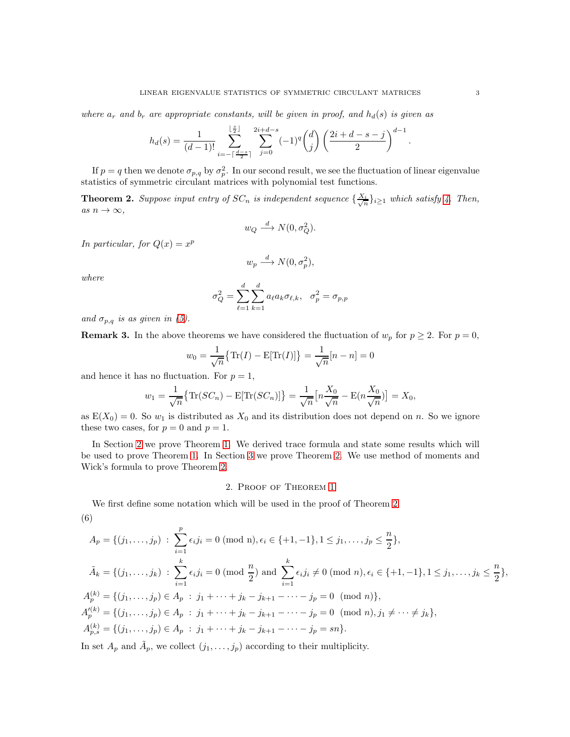where  $a_r$  and  $b_r$  are appropriate constants, will be given in proof, and  $h_d(s)$  is given as

$$
h_d(s) = \frac{1}{(d-1)!} \sum_{i=-\lceil\frac{d-s}{2}\rceil}^{\lfloor\frac{s}{2}\rfloor} \sum_{j=0}^{2i+d-s} (-1)^q {d \choose j} \left(\frac{2i+d-s-j}{2}\right)^{d-1}.
$$

If  $p = q$  then we denote  $\sigma_{p,q}$  by  $\sigma_p^2$ . In our second result, we see the fluctuation of linear eigenvalue statistics of symmetric circulant matrices with polynomial test functions.

<span id="page-2-1"></span>**Theorem 2.** Suppose input entry of  $SC_n$  is independent sequence  $\{\frac{X_i}{\sqrt{n}}\}_{i\geq 1}$  which satisfy [4.](#page-1-0) Then, as  $n \to \infty$ ,

$$
w_Q \stackrel{d}{\longrightarrow} N(0, \sigma_Q^2).
$$

In particular, for  $Q(x) = x^p$ 

$$
w_p \xrightarrow{d} N(0, \sigma_p^2),
$$

where

$$
\sigma_Q^2 = \sum_{\ell=1}^d \sum_{k=1}^d a_\ell a_k \sigma_{\ell,k}, \quad \sigma_p^2 = \sigma_{p,p}
$$

and  $\sigma_{p,q}$  is as given in [\(5\)](#page-1-1).

**Remark 3.** In the above theorems we have considered the fluctuation of  $w_p$  for  $p \ge 2$ . For  $p = 0$ ,

$$
w_0 = \frac{1}{\sqrt{n}} \{ \text{Tr}(I) - \text{E}[\text{Tr}(I)] \} = \frac{1}{\sqrt{n}} [n - n] = 0
$$

and hence it has no fluctuation. For  $p = 1$ ,

$$
w_1 = \frac{1}{\sqrt{n}} \{ \text{Tr}(SC_n) - \text{E}[\text{Tr}(SC_n)] \} = \frac{1}{\sqrt{n}} \left[ n \frac{X_0}{\sqrt{n}} - \text{E}(n \frac{X_0}{\sqrt{n}}) \right] = X_0,
$$

as  $E(X_0) = 0$ . So  $w_1$  is distributed as  $X_0$  and its distribution does not depend on n. So we ignore these two cases, for  $p = 0$  and  $p = 1$ .

In Section [2](#page-2-0) we prove Theorem [1.](#page-1-2) We derived trace formula and state some results which will be used to prove Theorem [1.](#page-1-2) In Section [3](#page-13-0) we prove Theorem [2.](#page-2-1) We use method of moments and Wick's formula to prove Theorem [2.](#page-2-1)

## 2. Proof of Theorem [1](#page-1-2)

<span id="page-2-2"></span><span id="page-2-0"></span>We first define some notation which will be used in the proof of Theorem [2.](#page-2-1) (6)

$$
A_p = \{(j_1, \ldots, j_p) : \sum_{i=1}^p \epsilon_i j_i = 0 \pmod{n}, \epsilon_i \in \{+1, -1\}, 1 \le j_1, \ldots, j_p \le \frac{n}{2}\},
$$
  

$$
\tilde{A}_k = \{(j_1, \ldots, j_k) : \sum_{i=1}^k \epsilon_i j_i = 0 \pmod{\frac{n}{2}} \text{ and } \sum_{i=1}^k \epsilon_i j_i \ne 0 \pmod{n}, \epsilon_i \in \{+1, -1\}, 1 \le j_1, \ldots, j_k \le \frac{n}{2}\},
$$
  

$$
A_p^{(k)} = \{(j_1, \ldots, j_p) \in A_p : j_1 + \cdots + j_k - j_{k+1} - \cdots - j_p = 0 \pmod{n}\},
$$
  

$$
A_p'^{(k)} = \{(j_1, \ldots, j_p) \in A_p : j_1 + \cdots + j_k - j_{k+1} - \cdots - j_p = 0 \pmod{n}, j_1 \ne \cdots \ne j_k\},
$$
  

$$
A_{p,s}^{(k)} = \{(j_1, \ldots, j_p) \in A_p : j_1 + \cdots + j_k - j_{k+1} - \cdots - j_p = sn\}.
$$

In set  $A_p$  and  $\tilde{A}_p$ , we collect  $(j_1, \ldots, j_p)$  according to their multiplicity.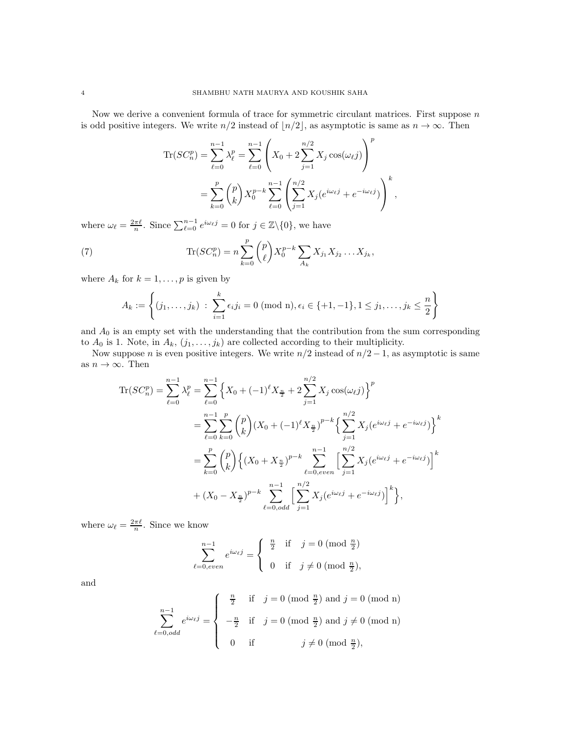Now we derive a convenient formula of trace for symmetric circulant matrices. First suppose  $n$ is odd positive integers. We write  $n/2$  instead of  $\lfloor n/2 \rfloor$ , as asymptotic is same as  $n \to \infty$ . Then

$$
\begin{split} \text{Tr}(SC_n^p) &= \sum_{\ell=0}^{n-1} \lambda_\ell^p = \sum_{\ell=0}^{n-1} \left( X_0 + 2 \sum_{j=1}^{n/2} X_j \cos(\omega_\ell j) \right)^p \\ &= \sum_{k=0}^p \binom{p}{k} X_0^{p-k} \sum_{\ell=0}^{n-1} \left( \sum_{j=1}^{n/2} X_j (e^{i\omega_\ell j} + e^{-i\omega_\ell j}) \right)^k, \end{split}
$$

where  $\omega_{\ell} = \frac{2\pi\ell}{n}$ . Since  $\sum_{\ell=0}^{n-1} e^{i\omega_{\ell}j} = 0$  for  $j \in \mathbb{Z} \setminus \{0\}$ , we have

<span id="page-3-0"></span>(7) 
$$
\text{Tr}(SC_n^p) = n \sum_{k=0}^p {p \choose \ell} X_0^{p-k} \sum_{A_k} X_{j_1} X_{j_2} \dots X_{j_k},
$$

where  $A_k$  for  $k = 1, \ldots, p$  is given by

$$
A_k := \left\{ (j_1, \ldots, j_k) : \sum_{i=1}^k \epsilon_i j_i = 0 \pmod{n}, \epsilon_i \in \{+1, -1\}, 1 \le j_1, \ldots, j_k \le \frac{n}{2} \right\}
$$

and  $A_0$  is an empty set with the understanding that the contribution from the sum corresponding to  $A_0$  is 1. Note, in  $A_k$ ,  $(j_1, \ldots, j_k)$  are collected according to their multiplicity.

Now suppose n is even positive integers. We write  $n/2$  instead of  $n/2 - 1$ , as asymptotic is same as  $n \to \infty$ . Then

$$
\begin{split} \text{Tr}(SC_n^p) &= \sum_{\ell=0}^{n-1} \lambda_\ell^p = \sum_{\ell=0}^{n-1} \left\{ X_0 + (-1)^\ell X_{\frac{n}{2}} + 2 \sum_{j=1}^{n/2} X_j \cos(\omega_\ell j) \right\}^p \\ &= \sum_{\ell=0}^{n-1} \sum_{k=0}^p \binom{p}{k} (X_0 + (-1)^\ell X_{\frac{n}{2}})^{p-k} \left\{ \sum_{j=1}^{n/2} X_j (e^{i\omega_\ell j} + e^{-i\omega_\ell j}) \right\}^k \\ &= \sum_{k=0}^p \binom{p}{k} \left\{ (X_0 + X_{\frac{n}{2}})^{p-k} \sum_{\ell=0,even}^{n-1} \left[ \sum_{j=1}^{n/2} X_j (e^{i\omega_\ell j} + e^{-i\omega_\ell j}) \right]^k \right\} \\ &+ (X_0 - X_{\frac{n}{2}})^{p-k} \sum_{\ell=0,odd}^{n-1} \left[ \sum_{j=1}^{n/2} X_j (e^{i\omega_\ell j} + e^{-i\omega_\ell j}) \right]^k \right\}, \end{split}
$$

where  $\omega_{\ell} = \frac{2\pi\ell}{n}$ . Since we know

$$
\sum_{\ell=0,\text{even}}^{n-1} e^{i\omega_{\ell}j} = \begin{cases} \frac{n}{2} & \text{if } j=0 \pmod{\frac{n}{2}} \\ 0 & \text{if } j \neq 0 \pmod{\frac{n}{2}}, \end{cases}
$$

and

$$
\sum_{\ell=0,odd}^{n-1} e^{i\omega_{\ell}j} = \begin{cases}\n\frac{n}{2} & \text{if } j = 0 \pmod{\frac{n}{2}} \text{ and } j = 0 \pmod{n} \\
-\frac{n}{2} & \text{if } j = 0 \pmod{\frac{n}{2}} \text{ and } j \neq 0 \pmod{n} \\
0 & \text{if } j \neq 0 \pmod{\frac{n}{2}},\n\end{cases}
$$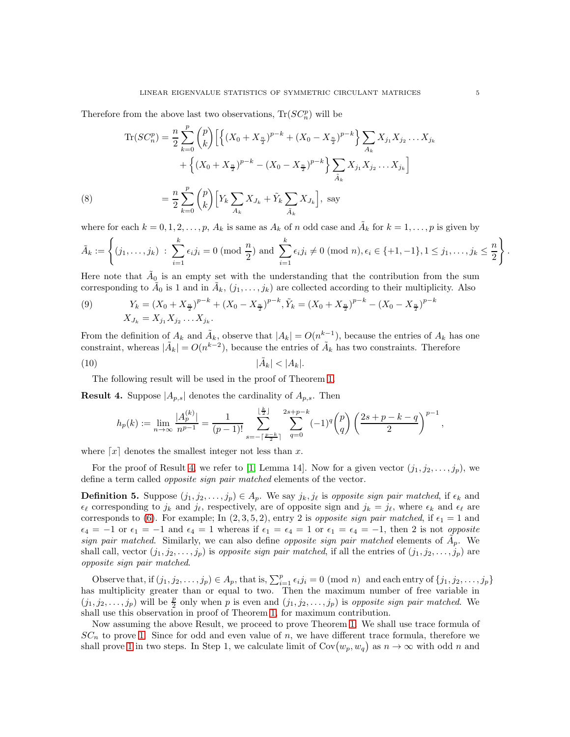Therefore from the above last two observations,  $\text{Tr}(SC_n^p)$  will be

$$
\begin{split} \text{Tr}(SC_n^p) &= \frac{n}{2} \sum_{k=0}^p \binom{p}{k} \Big[ \Big\{ (X_0 + X_{\frac{n}{2}})^{p-k} + (X_0 - X_{\frac{n}{2}})^{p-k} \Big\} \sum_{A_k} X_{j_1} X_{j_2} \dots X_{j_k} \\ &+ \Big\{ (X_0 + X_{\frac{n}{2}})^{p-k} - (X_0 - X_{\frac{n}{2}})^{p-k} \Big\} \sum_{\tilde{A}_k} X_{j_1} X_{j_2} \dots X_{j_k} \Big] \\ \text{(8)} \qquad &= \frac{n}{2} \sum_{k=0}^p \binom{p}{k} \Big[ Y_k \sum_{A_k} X_{J_k} + \tilde{Y}_k \sum_{\tilde{A}_k} X_{J_k} \Big], \text{ say} \end{split}
$$

<span id="page-4-1"></span>where for each  $k = 0, 1, 2, \ldots, p$ ,  $A_k$  is same as  $A_k$  of n odd case and  $\tilde{A}_k$  for  $k = 1, \ldots, p$  is given by

$$
\tilde{A}_k := \left\{ (j_1, \ldots, j_k) \; : \; \sum_{i=1}^k \epsilon_i j_i = 0 \; (\text{mod } \frac{n}{2}) \text{ and } \sum_{i=1}^k \epsilon_i j_i \neq 0 \; (\text{mod } n), \epsilon_i \in \{+1, -1\}, 1 \leq j_1, \ldots, j_k \leq \frac{n}{2} \right\}.
$$

Here note that  $\tilde{A}_0$  is an empty set with the understanding that the contribution from the sum corresponding to  $\tilde{A}_0$  is 1 and in  $\tilde{A}_k$ ,  $(j_1, \ldots, j_k)$  are collected according to their multiplicity. Also

$$
Y_k = (X_0 + X_{\frac{n}{2}})^{p-k} + (X_0 - X_{\frac{n}{2}})^{p-k}, \tilde{Y}_k = (X_0 + X_{\frac{n}{2}})^{p-k} - (X_0 - X_{\frac{n}{2}})^{p-k}
$$
  

$$
X_{J_k} = X_{j_1} X_{j_2} \dots X_{j_k}.
$$

From the definition of  $A_k$  and  $\tilde{A}_k$ , observe that  $|A_k| = O(n^k-1)$ , because the entries of  $A_k$  has one constraint, whereas  $|\tilde{A}_k| = O(n^{k-2})$ , because the entries of  $\tilde{A}_k$  has two constraints. Therefore

$$
|\tilde{A}_k| < |A_k|.
$$

<span id="page-4-2"></span>(9)

The following result will be used in the proof of Theorem [1.](#page-1-2)

<span id="page-4-0"></span>**Result 4.** Suppose  $|A_{p,s}|$  denotes the cardinality of  $A_{p,s}$ . Then

<span id="page-4-3"></span>
$$
h_p(k) := \lim_{n \to \infty} \frac{|A_p^{(k)}|}{n^{p-1}} = \frac{1}{(p-1)!} \sum_{s=-\lceil \frac{p-k}{2} \rceil}^{\lfloor \frac{k}{2} \rfloor} \sum_{q=0}^{2s+p-k} (-1)^q {p \choose q} \left( \frac{2s+p-k-q}{2} \right)^{p-1},
$$

where  $\lceil x \rceil$  denotes the smallest integer not less than x.

For the proof of Result [4,](#page-4-0) we refer to [\[1,](#page-17-2) Lemma 14]. Now for a given vector  $(j_1, j_2, \ldots, j_p)$ , we define a term called opposite sign pair matched elements of the vector.

**Definition 5.** Suppose  $(j_1, j_2, \ldots, j_p) \in A_p$ . We say  $j_k, j_\ell$  is opposite sign pair matched, if  $\epsilon_k$  and  $\epsilon_\ell$  corresponding to  $j_k$  and  $j_\ell$ , respectively, are of opposite sign and  $j_k = j_\ell$ , where  $\epsilon_k$  and  $\epsilon_\ell$  are corresponds to [\(6\)](#page-2-2). For example; In  $(2,3,5,2)$ , entry 2 is *opposite sign pair matched*, if  $\epsilon_1 = 1$  and  $\epsilon_4 = -1$  or  $\epsilon_1 = -1$  and  $\epsilon_4 = 1$  whereas if  $\epsilon_1 = \epsilon_4 = 1$  or  $\epsilon_1 = \epsilon_4 = -1$ , then 2 is not *opposite* sign pair matched. Similarly, we can also define opposite sign pair matched elements of  $\tilde{A}_p$ . We shall call, vector  $(j_1, j_2, \ldots, j_p)$  is *opposite sign pair matched*, if all the entries of  $(j_1, j_2, \ldots, j_p)$  are opposite sign pair matched.

Observe that, if  $(j_1, j_2, \ldots, j_p) \in A_p$ , that is,  $\sum_{i=1}^p \epsilon_i j_i = 0 \pmod{n}$  and each entry of  $\{j_1, j_2, \ldots, j_p\}$ has multiplicity greater than or equal to two. Then the maximum number of free variable in  $(j_1, j_2, \ldots, j_p)$  will be  $\frac{p}{2}$  only when p is even and  $(j_1, j_2, \ldots, j_p)$  is opposite sign pair matched. We shall use this observation in proof of Theorem [1,](#page-1-2) for maximum contribution.

Now assuming the above Result, we proceed to prove Theorem [1.](#page-1-2) We shall use trace formula of  $SC_n$  to prove [1.](#page-1-2) Since for odd and even value of n, we have different trace formula, therefore we shall prove [1](#page-1-2) in two steps. In Step 1, we calculate limit of  $Cov(w_p, w_q)$  as  $n \to \infty$  with odd n and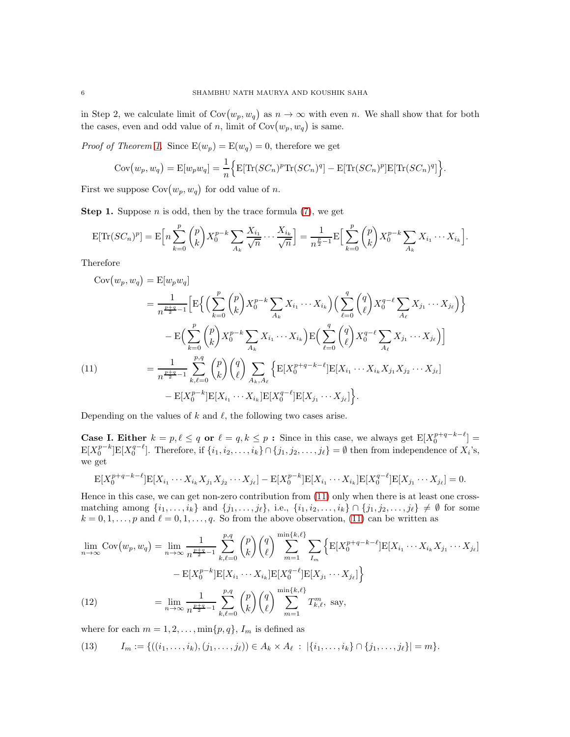in Step 2, we calculate limit of  $Cov(w_p, w_q)$  as  $n \to \infty$  with even n. We shall show that for both the cases, even and odd value of n, limit of  $Cov(w_p, w_q)$  is same.

*Proof of Theorem [1.](#page-1-2)* Since  $E(w_p) = E(w_q) = 0$ , therefore we get

$$
Cov(w_p, w_q) = E[w_p w_q] = \frac{1}{n} \Big\{ E[\text{Tr}(SC_n)^p \text{Tr}(SC_n)^q] - E[\text{Tr}(SC_n)^p] E[\text{Tr}(SC_n)^q] \Big\}.
$$

First we suppose  $Cov(w_p, w_q)$  for odd value of *n*.

**Step 1.** Suppose *n* is odd, then by the trace formula  $(7)$ , we get

$$
E[\text{Tr}(SC_n)^p] = E\bigg[n\sum_{k=0}^p {p \choose k} X_0^{p-k} \sum_{A_k} \frac{X_{i_1}}{\sqrt{n}} \cdots \frac{X_{i_k}}{\sqrt{n}}\bigg] = \frac{1}{n^{\frac{p}{2}-1}} E\Big[\sum_{k=0}^p {p \choose k} X_0^{p-k} \sum_{A_k} X_{i_1} \cdots X_{i_k}\Big].
$$

Therefore

$$
Cov(w_p, w_q) = E[w_p w_q]
$$
  
\n
$$
= \frac{1}{n^{\frac{p+q}{2}-1}} \Big[ E \Big\{ \Big( \sum_{k=0}^p {p \choose k} X_0^{p-k} \sum_{A_k} X_{i_1} \cdots X_{i_k} \Big) \Big( \sum_{\ell=0}^q {q \choose \ell} X_0^{q-\ell} \sum_{A_\ell} X_{j_1} \cdots X_{j_\ell} \Big) \Big\}
$$
  
\n
$$
- E \Big( \sum_{k=0}^p {p \choose k} X_0^{p-k} \sum_{A_k} X_{i_1} \cdots X_{i_k} \Big) E \Big( \sum_{\ell=0}^q {q \choose \ell} X_0^{q-\ell} \sum_{A_\ell} X_{j_1} \cdots X_{j_\ell} \Big) \Big]
$$
  
\n
$$
= \frac{1}{n^{\frac{p+q}{2}-1}} \sum_{k,\ell=0}^{p,q} {p \choose k} {q \choose \ell} \sum_{A_k, A_\ell} \Big\{ E[X_0^{p+q-k-\ell}] E[X_{i_1} \cdots X_{i_k} X_{j_1} X_{j_2} \cdots X_{j_\ell}]
$$
  
\n
$$
- E[X_0^{p-k}] E[X_{i_1} \cdots X_{i_k}] E[X_0^{q-\ell}] E[X_{j_1} \cdots X_{j_\ell}] \Big\}.
$$

<span id="page-5-0"></span>Depending on the values of k and  $\ell$ , the following two cases arise.

**Case I. Either**  $k = p, \ell \leq q$  or  $\ell = q, k \leq p$ : Since in this case, we always get  $E[X_0^{p+q-k-\ell}] =$  $\mathbb{E}[X_0^{p-k}] \mathbb{E}[X_0^{q-\ell}]$ . Therefore, if  $\{i_1, i_2, \ldots, i_k\} \cap \{j_1, j_2, \ldots, j_\ell\} = \emptyset$  then from independence of  $X_i$ 's, we get

$$
E[X_0^{p+q-k-\ell}]E[X_{i_1}\cdots X_{i_k}X_{j_1}X_{j_2}\cdots X_{j_\ell}] - E[X_0^{p-k}]E[X_{i_1}\cdots X_{i_k}]E[X_0^{q-\ell}]E[X_{j_1}\cdots X_{j_\ell}] = 0.
$$

Hence in this case, we can get non-zero contribution from [\(11\)](#page-5-0) only when there is at least one crossmatching among  $\{i_1,\ldots,i_k\}$  and  $\{j_1,\ldots,j_\ell\}$ , i.e.,  $\{i_1,i_2,\ldots,i_k\}\cap\{j_1,j_2,\ldots,j_\ell\}\neq\emptyset$  for some  $k = 0, 1, \ldots, p$  and  $\ell = 0, 1, \ldots, q$ . So from the above observation, [\(11\)](#page-5-0) can be written as

$$
\lim_{n \to \infty} \text{Cov}(w_p, w_q) = \lim_{n \to \infty} \frac{1}{n^{\frac{p+q}{2}-1}} \sum_{k,\ell=0}^{p,q} {p \choose k} {q \choose \ell} \sum_{m=1}^{\min\{k,\ell\}} \sum_{I_m} \left\{ \mathbb{E}[X_0^{p+q-k-\ell}] \mathbb{E}[X_{i_1} \cdots X_{i_k} X_{j_1} \cdots X_{j_\ell}] - \mathbb{E}[X_0^{p-k}] \mathbb{E}[X_{i_1} \cdots X_{i_k}] \mathbb{E}[X_0^{q-\ell}] \mathbb{E}[X_{j_1} \cdots X_{j_\ell}] \right\}
$$
\n
$$
(12) \qquad = \lim_{n \to \infty} \frac{1}{n^{\frac{p+q}{2}-1}} \sum_{k,\ell=0}^{p,q} {p \choose k} {q \choose \ell} \sum_{m=1}^{\min\{k,\ell\}} T_{k,\ell}^m, \text{ say,}
$$

<span id="page-5-1"></span>where for each  $m = 1, 2, \ldots, \min\{p, q\}, I_m$  is defined as

$$
(13) \qquad I_m := \{((i_1,\ldots,i_k),(j_1,\ldots,j_\ell))\in A_k\times A_\ell \;:\; |\{i_1,\ldots,i_k\}\cap\{j_1,\ldots,j_\ell\}|=m\}.
$$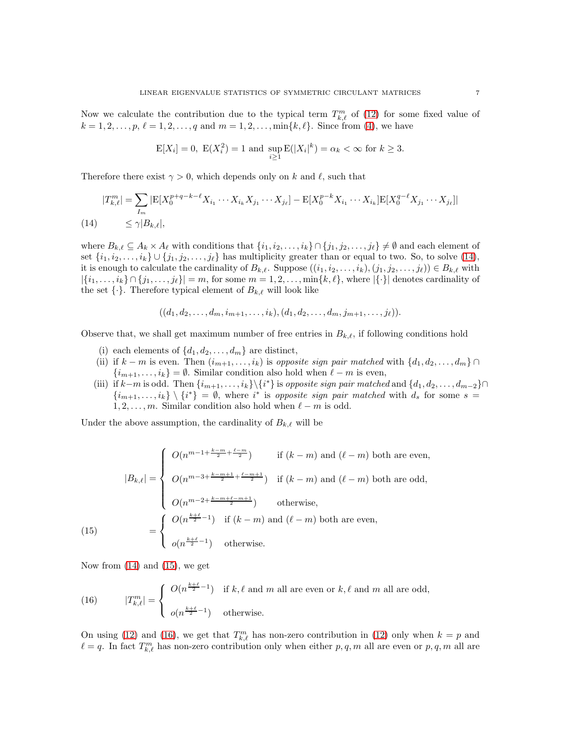Now we calculate the contribution due to the typical term  $T_{k,\ell}^m$  of [\(12\)](#page-5-1) for some fixed value of  $k = 1, 2, \ldots, p, \ell = 1, 2, \ldots, q$  and  $m = 1, 2, \ldots, \min\{k, \ell\}.$  Since from [\(4\)](#page-1-0), we have

$$
E[X_i] = 0
$$
,  $E(X_i^2) = 1$  and  $\sup_{i \ge 1} E(|X_i|^k) = \alpha_k < \infty$  for  $k \ge 3$ .

Therefore there exist  $\gamma > 0$ , which depends only on k and  $\ell$ , such that

<span id="page-6-0"></span>
$$
|T_{k,\ell}^m| = \sum_{I_m} |E[X_0^{p+q-k-\ell} X_{i_1} \cdots X_{i_k} X_{j_1} \cdots X_{j_\ell}] - E[X_0^{p-k} X_{i_1} \cdots X_{i_k}] E[X_0^{q-\ell} X_{j_1} \cdots X_{j_\ell}]|
$$
  
(14) 
$$
\leq \gamma |B_{k,\ell}|,
$$

where  $B_{k,\ell} \subseteq A_k \times A_{\ell}$  with conditions that  $\{i_1, i_2, \ldots, i_k\} \cap \{j_1, j_2, \ldots, j_\ell\} \neq \emptyset$  and each element of set  $\{i_1, i_2, \ldots, i_k\} \cup \{j_1, j_2, \ldots, j_\ell\}$  has multiplicity greater than or equal to two. So, to solve [\(14\)](#page-6-0), it is enough to calculate the cardinality of  $B_{k,\ell}$ . Suppose  $((i_1, i_2, \ldots, i_k), (j_1, j_2, \ldots, j_\ell)) \in B_{k,\ell}$  with  $|\{i_1,\ldots,i_k\}\cap\{j_1,\ldots,j_\ell\}|=m$ , for some  $m=1,2,\ldots,\min\{k,\ell\}$ , where  $|\{\cdot\}|$  denotes cardinality of the set  $\{\cdot\}$ . Therefore typical element of  $B_{k,\ell}$  will look like

$$
((d_1, d_2, \ldots, d_m, i_{m+1}, \ldots, i_k), (d_1, d_2, \ldots, d_m, j_{m+1}, \ldots, j_\ell)).
$$

Observe that, we shall get maximum number of free entries in  $B_{k,\ell}$ , if following conditions hold

- (i) each elements of  $\{d_1, d_2, \ldots, d_m\}$  are distinct,
- (ii) if  $k m$  is even. Then  $(i_{m+1}, \ldots, i_k)$  is opposite sign pair matched with  $\{d_1, d_2, \ldots, d_m\} \cap$  $\{i_{m+1}, \ldots, i_k\} = \emptyset$ . Similar condition also hold when  $\ell - m$  is even,
- (iii) if  $k-m$  is odd. Then  $\{i_{m+1},\ldots,i_k\}\backslash\{i^*\}$  is opposite sign pair matched and  $\{d_1,d_2,\ldots,d_{m-2}\}\cap$  $\{i_{m+1},\ldots,i_k\}\setminus\{i^*\}=\emptyset$ , where  $i^*$  is opposite sign pair matched with  $d_s$  for some  $s=$  $1, 2, \ldots, m$ . Similar condition also hold when  $\ell - m$  is odd.

Under the above assumption, the cardinality of  $B_{k,\ell}$  will be

$$
|B_{k,\ell}| = \begin{cases} O(n^{m-1+\frac{k-m}{2}+\frac{\ell-m}{2}}) & \text{if } (k-m) \text{ and } (\ell-m) \text{ both are even,} \\ O(n^{m-3+\frac{k-m+1}{2}+\frac{\ell-m+1}{2}}) & \text{if } (k-m) \text{ and } (\ell-m) \text{ both are odd,} \\ O(n^{m-2+\frac{k-m+\ell-m+1}{2}}) & \text{otherwise,} \end{cases}
$$
\n
$$
= \begin{cases} O(n^{\frac{k+\ell}{2}-1}) & \text{if } (k-m) \text{ and } (\ell-m) \text{ both are even,} \\ o(n^{\frac{k+\ell}{2}-1}) & \text{otherwise.} \end{cases}
$$

<span id="page-6-1"></span>Now from [\(14\)](#page-6-0) and [\(15\)](#page-6-1), we get

<span id="page-6-2"></span>(16) 
$$
|T_{k,\ell}^m| = \begin{cases} O(n^{\frac{k+\ell}{2}-1}) & \text{if } k,\ell \text{ and } m \text{ all are even or } k,\ell \text{ and } m \text{ all are odd,} \\ o(n^{\frac{k+\ell}{2}-1}) & \text{otherwise.} \end{cases}
$$

On using [\(12\)](#page-5-1) and [\(16\)](#page-6-2), we get that  $T_{k,\ell}^m$  has non-zero contribution in (12) only when  $k = p$  and  $\ell = q$ . In fact  $T_{k,\ell}^m$  has non-zero contribution only when either  $p,q,m$  all are even or  $p,q,m$  all are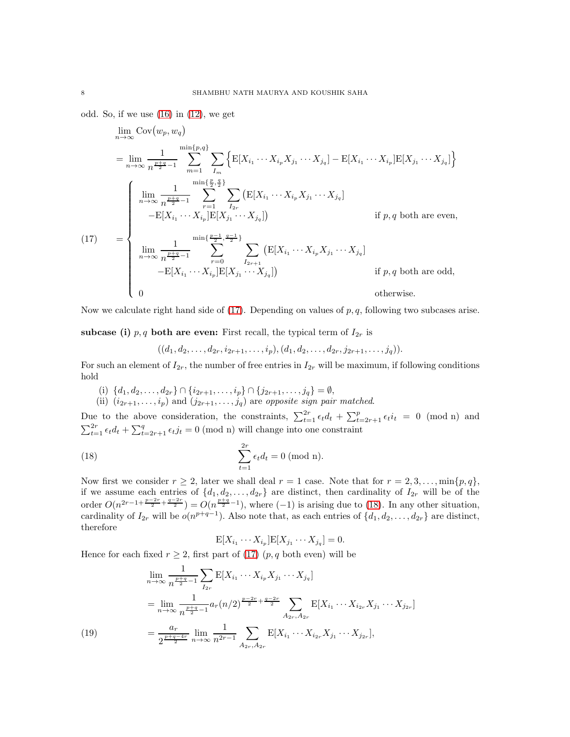odd. So, if we use  $(16)$  in  $(12)$ , we get

$$
\lim_{n \to \infty} \text{Cov}(w_p, w_q)
$$
\n
$$
= \lim_{n \to \infty} \frac{1}{n^{\frac{p+q}{2}-1}} \sum_{m=1}^{\min\{p,q\}} \sum_{I_m} \left\{ \mathbb{E}[X_{i_1} \cdots X_{i_p} X_{j_1} \cdots X_{j_q}] - \mathbb{E}[X_{i_1} \cdots X_{i_p}] \mathbb{E}[X_{j_1} \cdots X_{j_q}] \right\}
$$
\n
$$
= \begin{cases}\n\lim_{n \to \infty} \frac{1}{n^{\frac{p+q}{2}-1}} \sum_{r=1}^{\min\{\frac{p}{2}, \frac{q}{2}\}} \sum_{I_{2r}} \left( \mathbb{E}[X_{i_1} \cdots X_{i_p} X_{j_1} \cdots X_{j_q}] \right. & \text{if } p, q \text{ both are even,} \\
\lim_{n \to \infty} \frac{1}{n^{\frac{p+q}{2}-1}} \sum_{r=0}^{\min\{\frac{p-1}{2}, \frac{q-1}{2}\}} \sum_{I_{2r+1}} \left( \mathbb{E}[X_{i_1} \cdots X_{i_p} X_{j_1} \cdots X_{j_q}] \right. & \text{if } p, q \text{ both are odd,} \\
-\mathbb{E}[X_{i_1} \cdots X_{i_p}] \mathbb{E}[X_{j_1} \cdots X_{j_q}]\n\end{cases}
$$
\n
$$
= \begin{cases}\n\lim_{n \to \infty} \frac{1}{n^{\frac{p+q}{2}-1}} \sum_{r=0}^{\min\{\frac{p-1}{2}, \frac{q-1}{2}\}} \sum_{I_{2r+1}} \left( \mathbb{E}[X_{i_1} \cdots X_{i_p} X_{j_1} \cdots X_{j_q}] \right) & \text{if } p, q \text{ both are odd,} \\
0 & \text{otherwise.}\n\end{cases}
$$

<span id="page-7-0"></span>Now we calculate right hand side of  $(17)$ . Depending on values of  $p, q$ , following two subcases arise.

subcase (i)  $p, q$  both are even: First recall, the typical term of  $I_{2r}$  is

 $((d_1, d_2, \ldots, d_{2r}, i_{2r+1}, \ldots, i_p), (d_1, d_2, \ldots, d_{2r}, j_{2r+1}, \ldots, j_q)).$ 

For such an element of  $I_{2r}$ , the number of free entries in  $I_{2r}$  will be maximum, if following conditions hold

- (i)  $\{d_1, d_2, \ldots, d_{2r}\} \cap \{i_{2r+1}, \ldots, i_p\} \cap \{j_{2r+1}, \ldots, j_q\} = \emptyset$ ,
- (ii)  $(i_{2r+1},...,i_p)$  and  $(j_{2r+1},...,j_q)$  are opposite sign pair matched.

Due to the above consideration, the constraints,  $\sum_{t=1}^{2r} \epsilon_t d_t + \sum_{t=2r+1}^{p} \epsilon_t i_t = 0 \pmod{n}$  and  $\sum_{t=1}^{2r} \epsilon_t d_t + \sum_{t=2r+1}^{q} \epsilon_t j_t = 0$  (mod n) will change into one constraint

(18) 
$$
\sum_{t=1}^{2r} \epsilon_t d_t = 0 \text{ (mod n)}.
$$

Now first we consider  $r \geq 2$ , later we shall deal  $r = 1$  case. Note that for  $r = 2, 3, \ldots, \min\{p, q\}$ , if we assume each entries of  $\{d_1, d_2, \ldots, d_{2r}\}$  are distinct, then cardinality of  $I_{2r}$  will be of the order  $O(n^{2r-1+\frac{p-2r}{2}+\frac{q-2r}{2}}) = O(n^{\frac{p+q}{2}-1})$ , where  $(-1)$  is arising due to [\(18\)](#page-7-1). In any other situation, cardinality of  $I_{2r}$  will be  $o(n^{p+q-1})$ . Also note that, as each entries of  $\{d_1, d_2, \ldots, d_{2r}\}$  are distinct, therefore

<span id="page-7-1"></span>
$$
\mathbb{E}[X_{i_1}\cdots X_{i_p}]\mathbb{E}[X_{j_1}\cdots X_{j_q}]=0.
$$

Hence for each fixed  $r \geq 2$ , first part of [\(17\)](#page-7-0)  $(p, q \text{ both even})$  will be

<span id="page-7-2"></span>(19)  
\n
$$
\lim_{n \to \infty} \frac{1}{n^{\frac{p+q}{2}-1}} \sum_{I_{2r}} \mathbb{E}[X_{i_1} \cdots X_{i_p} X_{j_1} \cdots X_{j_q}]
$$
\n
$$
= \lim_{n \to \infty} \frac{1}{n^{\frac{p+q}{2}-1}} a_r (n/2)^{\frac{p-2r}{2} + \frac{q-2r}{2}} \sum_{A_{2r}, A_{2r}} \mathbb{E}[X_{i_1} \cdots X_{i_{2r}} X_{j_1} \cdots X_{j_{2r}}]
$$
\n
$$
= \frac{a_r}{2^{\frac{p+q-4r}{2}}} \lim_{n \to \infty} \frac{1}{n^{2r-1}} \sum_{A_{2r}, A_{2r}} \mathbb{E}[X_{i_1} \cdots X_{i_{2r}} X_{j_1} \cdots X_{j_{2r}}],
$$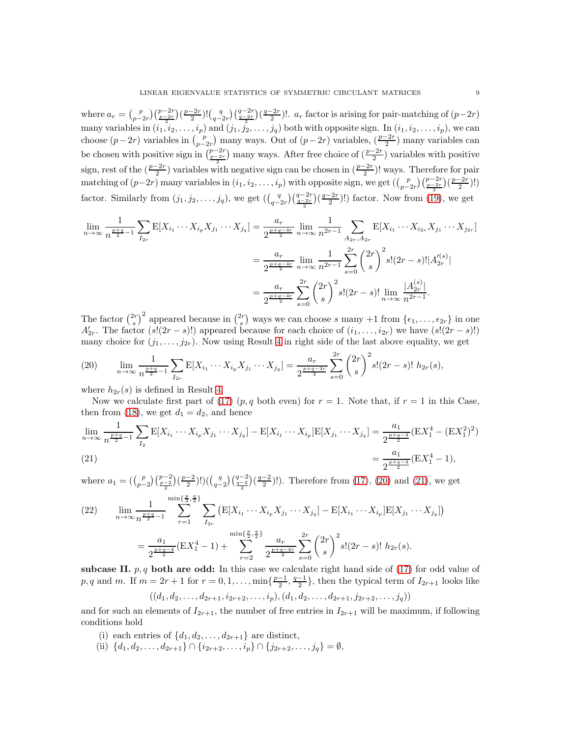where  $a_r = {p \choose p-2r} \left(\frac{p-2r}{2}\right) \left(\frac{q-2r}{2}\right) \left(\frac{q-2r}{2}\right) \left(\frac{q-2r}{2}\right) \left(\frac{q-2r}{2}\right)$ .  $a_r$  factor is arising for pair-matching of  $(p-2r)$ many variables in  $(i_1, i_2, \ldots, i_p)$  and  $(j_1, j_2, \ldots, j_q)$  both with opposite sign. In  $(i_1, i_2, \ldots, i_p)$ , we can choose  $(p-2r)$  variables in  $\binom{p}{p-2r}$  many ways. Out of  $(p-2r)$  variables,  $\binom{p-2r}{2}$  many variables can be chosen with positive sign in  $\binom{p-2r}{\frac{p-2r}{2}}$  many ways. After free choice of  $\left(\frac{p-2r}{2}\right)$  variables with positive sign, rest of the  $(\frac{p-2r}{2})$  variables with negative sign can be chosen in  $(\frac{p-2r}{2})!$  ways. Therefore for pair matching of  $(p-2r)$  many variables in  $(i_1, i_2, \ldots, i_p)$  with opposite sign, we get  $\left(\binom{p}{p-2r}\binom{p-2r}{\frac{p-2r}{2}}\binom{p-2r}{2}!$ factor. Similarly from  $(j_1, j_2, \ldots, j_q)$ , we get  $(\binom{q}{q-2r}\binom{q-2r}{\frac{q-2r}{2}}\binom{q-2r}{2}!)$  factor. Now from [\(19\)](#page-7-2), we get

$$
\lim_{n \to \infty} \frac{1}{n^{\frac{p+q}{2}-1}} \sum_{I_{2r}} \mathbb{E}[X_{i_1} \cdots X_{i_p} X_{j_1} \cdots X_{j_q}] = \frac{a_r}{2^{\frac{p+q-4r}{2}}} \lim_{n \to \infty} \frac{1}{n^{2r-1}} \sum_{A_{2r}, A_{2r}} \mathbb{E}[X_{i_1} \cdots X_{i_{2r}} X_{j_1} \cdots X_{j_{2r}}]
$$

$$
= \frac{a_r}{2^{\frac{p+q-4r}{2}}} \lim_{n \to \infty} \frac{1}{n^{2r-1}} \sum_{s=0}^{2r} {2r \choose s}^2 s! (2r-s)! |A_{2r}'^{(s)}|
$$

$$
= \frac{a_r}{2^{\frac{p+q-4r}{2}}} \sum_{s=0}^{2r} {2r \choose s}^2 s! (2r-s)! \lim_{n \to \infty} \frac{|A_{2r}^{(s)}|}{n^{2r-1}}.
$$

The factor  $\binom{2r}{s}^2$  appeared because in  $\binom{2r}{s}$  ways we can choose s many +1 from  $\{\epsilon_1, \ldots, \epsilon_{2r}\}$  in one  $A'_{2r}$ . The factor  $(s!(2r-s)!)$  appeared because for each choice of  $(i_1,\ldots,i_{2r})$  we have  $(s!(2r-s)!)$ many choice for  $(j_1, \ldots, j_{2r})$ . Now using Result [4](#page-4-0) in right side of the last above equality, we get

<span id="page-8-0"></span>(20) 
$$
\lim_{n \to \infty} \frac{1}{n^{\frac{p+q}{2}-1}} \sum_{I_{2r}} \mathbb{E}[X_{i_1} \cdots X_{i_p} X_{j_1} \cdots X_{j_q}] = \frac{a_r}{2^{\frac{p+q-4r}{2}}} \sum_{s=0}^{2r} {2r \choose s}^2 s! (2r-s)! \ h_{2r}(s),
$$

where  $h_{2r}(s)$  is defined in Result [4.](#page-4-0)

Now we calculate first part of [\(17\)](#page-7-0)  $(p, q \text{ both even})$  for  $r = 1$ . Note that, if  $r = 1$  in this Case, then from [\(18\)](#page-7-1), we get  $d_1 = d_2$ , and hence

$$
\lim_{n \to \infty} \frac{1}{n^{\frac{p+q}{2}-1}} \sum_{I_2} \mathcal{E}[X_{i_1} \cdots X_{i_p} X_{j_1} \cdots X_{j_q}] - \mathcal{E}[X_{i_1} \cdots X_{i_p}] \mathcal{E}[X_{j_1} \cdots X_{j_q}] = \frac{a_1}{2^{\frac{p+q-4}{2}}} (\mathcal{E}X_1^4 - (\mathcal{E}X_1^2)^2)
$$
\n
$$
= \frac{a_1}{2^{\frac{p+q-4}{2}}} (\mathcal{E}X_1^4 - 1),
$$

<span id="page-8-1"></span>where  $a_1 = \left( {p \choose p-2} {p-2 \choose \frac{p-2}{2}} \right) \left( {q \choose q-2} {q-2 \choose \frac{q-2}{2}} \right)$ . Therefore from [\(17\)](#page-7-0), [\(20\)](#page-8-0) and [\(21\)](#page-8-1), we get p q

<span id="page-8-2"></span>(22) 
$$
\lim_{n \to \infty} \frac{1}{n^{\frac{p+q}{2}-1}} \sum_{r=1}^{\min\{\frac{p}{2},\frac{q}{2}\}} \sum_{I_{2r}} \left( \mathbb{E}[X_{i_1} \cdots X_{i_p} X_{j_1} \cdots X_{j_q}] - \mathbb{E}[X_{i_1} \cdots X_{i_p}] \mathbb{E}[X_{j_1} \cdots X_{j_q}]\right)
$$

$$
= \frac{a_1}{2^{\frac{p+q-4}{2}}} (\mathbb{E}[X_1^4 - 1) + \sum_{r=2}^{\min\{\frac{p}{2},\frac{q}{2}\}} \frac{a_r}{2^{\frac{p+q-4r}{2}}} \sum_{s=0}^{2r} {2r \choose s}^2 s!(2r-s)! \; h_{2r}(s).
$$

subcase II.  $p, q$  both are odd: In this case we calculate right hand side of [\(17\)](#page-7-0) for odd value of p, q and m. If  $m = 2r + 1$  for  $r = 0, 1, \ldots$ ,  $\min\{\frac{p-1}{2}, \frac{q-1}{2}\}\$ , then the typical term of  $I_{2r+1}$  looks like  $((d_1, d_2, \ldots, d_{2r+1}, i_{2r+2}, \ldots, i_p), (d_1, d_2, \ldots, d_{2r+1}, j_{2r+2}, \ldots, j_q))$ 

and for such an elements of  $I_{2r+1}$ , the number of free entries in  $I_{2r+1}$  will be maximum, if following conditions hold

- (i) each entries of  $\{d_1, d_2, \ldots, d_{2r+1}\}\$  are distinct,
- (ii)  $\{d_1, d_2, \ldots, d_{2r+1}\} \cap \{i_{2r+2}, \ldots, i_p\} \cap \{j_{2r+2}, \ldots, j_q\} = \emptyset$ ,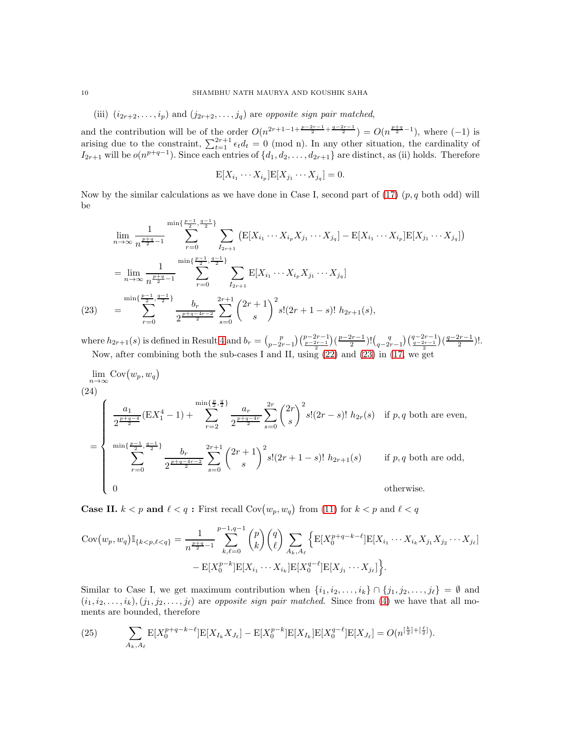(iii)  $(i_{2r+2}, \ldots, i_p)$  and  $(j_{2r+2}, \ldots, j_q)$  are opposite sign pair matched,

and the contribution will be of the order  $O(n^{2r+1-1+\frac{p-2r-1}{2}+\frac{q-2r-1}{2}}) = O(n^{\frac{p+q}{2}-1})$ , where  $(-1)$  is arising due to the constraint,  $\sum_{t=1}^{2r+1} \epsilon_t d_t = 0$  (mod n). In any other situation, the cardinality of  $I_{2r+1}$  will be  $o(n^{p+q-1})$ . Since each entries of  $\{d_1, d_2, \ldots, d_{2r+1}\}$  are distinct, as (ii) holds. Therefore

$$
\mathbb{E}[X_{i_1}\cdots X_{i_p}]\mathbb{E}[X_{j_1}\cdots X_{j_q}]=0.
$$

Now by the similar calculations as we have done in Case I, second part of  $(17)$   $(p, q$  both odd) will be

$$
\lim_{n \to \infty} \frac{1}{n^{\frac{p+q}{2}-1}} \sum_{r=0}^{\min\{\frac{p-1}{2}, \frac{q-1}{2}\}} \sum_{I_{2r+1}} \left( \mathbb{E}[X_{i_1} \cdots X_{i_p} X_{j_1} \cdots X_{j_q}] - \mathbb{E}[X_{i_1} \cdots X_{i_p}] \mathbb{E}[X_{j_1} \cdots X_{j_q}]\right)
$$
\n
$$
= \lim_{n \to \infty} \frac{1}{n^{\frac{p+q}{2}-1}} \sum_{r=0}^{\min\{\frac{p-1}{2}, \frac{q-1}{2}\}} \sum_{I_{2r+1}} \mathbb{E}[X_{i_1} \cdots X_{i_p} X_{j_1} \cdots X_{j_q}]
$$
\n(23) 
$$
= \sum_{r=0}^{\min\{\frac{p-1}{2}, \frac{q-1}{2}\}} \frac{b_r}{2^{\frac{p+q-4r-2}{2}}} \sum_{s=0}^{2r+1} {2r+1 \choose s}^2 s! (2r+1-s)! \ h_{2r+1}(s),
$$

<span id="page-9-0"></span>where  $h_{2r+1}(s)$  is defined in Result [4](#page-4-0) and  $b_r = {p \choose p-2r-1} {p-2r-1 \choose \frac{p-2r-1}{2}} {\left( \frac{p-2r-1}{2} \right)! \left( \frac{q}{q-2r-1} \right) \left( \frac{q-2r-1}{2} \right) \left( \frac{q-2r-1}{2} \right)!}$ . Now, after combining both the sub-cases I and II, using [\(22\)](#page-8-2) and [\(23\)](#page-9-0) in [\(17,](#page-7-0) we get

<span id="page-9-2"></span>
$$
\lim_{n \to \infty} \text{Cov}(w_p, w_q)
$$
\n
$$
(24)
$$
\n
$$
= \begin{cases}\n\frac{a_1}{2^{\frac{p+q-4}{2}}} (\text{E}X_1^4 - 1) + \sum_{r=2}^{\min\{\frac{p}{2},\frac{q}{2}\}} \frac{a_r}{2^{\frac{p+q-4r}{2}}} \sum_{s=0}^{2r} \binom{2r}{s}^2 s! (2r-s)! \ h_{2r}(s) & \text{if } p, q \text{ both are even,} \\
\min\{\frac{p-1}{2}, \frac{q-1}{2}\} & b_r}{\sum_{r=0}^{\min\{\frac{p-1}{2}, \frac{q-1}{2}\}} \sum_{s=0}^{2r+1} \binom{2r+1}{s}^2 s! (2r+1-s)! \ h_{2r+1}(s) & \text{if } p, q \text{ both are odd,} \\
0 & \text{otherwise.}\n\end{cases}
$$

**Case II.**  $k < p$  and  $\ell < q$ : First recall  $Cov(w_p, w_q)$  from [\(11\)](#page-5-0) for  $k < p$  and  $\ell < q$ 

$$
Cov(w_p, w_q) \mathbb{I}_{\{k < p, \ell < q\}} = \frac{1}{n^{\frac{p+q}{2}-1}} \sum_{k,\ell=0}^{p-1,q-1} {p \choose k} {q \choose \ell} \sum_{A_k, A_\ell} \left\{ \mathbb{E}[X_0^{p+q-k-\ell}] \mathbb{E}[X_{i_1} \cdots X_{i_k} X_{j_1} X_{j_2} \cdots X_{j_\ell}] - \mathbb{E}[X_0^{p-k}] \mathbb{E}[X_{i_1} \cdots X_{i_k}] \mathbb{E}[X_0^{q-\ell}] \mathbb{E}[X_{j_1} \cdots X_{j_\ell}] \right\}.
$$

Similar to Case I, we get maximum contribution when  $\{i_1, i_2, \ldots, i_k\} \cap \{j_1, j_2, \ldots, j_\ell\} = \emptyset$  and  $(i_1, i_2, \ldots, i_k), (j_1, j_2, \ldots, j_\ell)$  are *opposite sign pair matched*. Since from [\(4\)](#page-1-0) we have that all moments are bounded, therefore

<span id="page-9-1"></span>(25) 
$$
\sum_{A_k, A_\ell} \mathbb{E}[X_0^{p+q-k-\ell}] \mathbb{E}[X_{I_k} X_{J_\ell}] - \mathbb{E}[X_0^{p-k}] \mathbb{E}[X_{I_k}] \mathbb{E}[X_0^{q-\ell}] \mathbb{E}[X_{J_\ell}] = O(n^{\left[\frac{k}{2}\right] + \left[\frac{\ell}{2}\right]}).
$$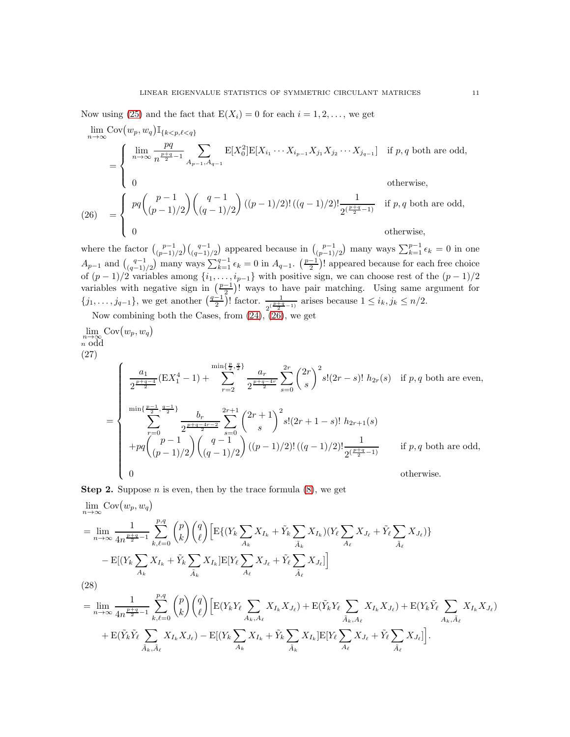Now using [\(25\)](#page-9-1) and the fact that  $E(X_i) = 0$  for each  $i = 1, 2, \ldots$ , we get

 $\lim_{n\to\infty}$  Cov $(w_p, w_q)$  I<sub>{k  $\lt p, \ell \lt q$ }</sub>

$$
= \begin{cases} \lim_{n \to \infty} \frac{pq}{n^{\frac{p+q}{2}-1}} \sum_{A_{p-1}, A_{q-1}} \mathbb{E}[X_0^2] \mathbb{E}[X_{i_1} \cdots X_{i_{p-1}} X_{j_1} X_{j_2} \cdots X_{j_{q-1}}] & \text{if } p, q \text{ both are odd,} \\ 0 & \text{otherwise,} \end{cases}
$$
  
(26) 
$$
= \begin{cases} pq \binom{p-1}{(p-1)/2} \binom{q-1}{(q-1)/2} ((p-1)/2)! \binom{1}{(q-1)/2} \frac{1}{2^{\left(\frac{p+q}{2}-1\right)}} & \text{if } p, q \text{ both are odd,} \\ 0 & \text{otherwise,} \end{cases}
$$

<span id="page-10-0"></span>where the factor  $\binom{p-1}{(p-1)/2}\binom{q-1}{(q-1)/2}$  appeared because in  $\binom{p-1}{(p-1)/2}$  many ways  $\sum_{k=1}^{p-1} \epsilon_k = 0$  in one  $A_{p-1}$  and  $\binom{q-1}{(q-1)/2}$  many ways  $\sum_{k=1}^{q-1} \epsilon_k = 0$  in  $A_{q-1}$ .  $\binom{p-1}{2}$ ! appeared because for each free choice of  $(p-1)/2$  variables among  $\{i_1, \ldots, i_{p-1}\}$  with positive sign, we can choose rest of the  $(p-1)/2$ variables with negative sign in  $\left(\frac{p-1}{2}\right)!$  ways to have pair matching. Using same argument for  $\{j_1,\ldots,j_{q-1}\}\)$ , we get another  $\left(\frac{q-1}{2}\right)!$  factor.  $\frac{1}{2^{\left(\frac{p+q}{2}-1\right)}}$  arises because  $1 \leq i_k, j_k \leq n/2$ .

Now combining both the Cases, from [\(24\)](#page-9-2), [\(26\)](#page-10-0), we get

<span id="page-10-2"></span>
$$
\lim_{n \to \infty} \text{Cov}(w_p, w_q)
$$
\n(27)\n
$$
= \begin{cases}\n\frac{a_1}{2^{\frac{p+q-4}{2}}} (\text{E}X_1^4 - 1) + \sum_{r=2}^{\min\{\frac{p}{2},\frac{q}{2}\}} \frac{a_r}{2^{\frac{p+q-4r}{2}}} \sum_{s=0}^{2r} \binom{2r}{s}^2 s! (2r-s)! \ h_{2r}(s) & \text{if } p, q \text{ both are even,} \\
\frac{\min\{\frac{p-1}{2}, \frac{q-1}{2}\}}{\sum_{r=0}^{\min\{\frac{p-1}{2}, \frac{q-1}{2}\}}} \frac{b_r}{2^{\frac{p+q-4r-2}{2}}} \sum_{s=0}^{2r+1} \binom{2r+1}{s}^2 s! (2r+1-s)! \ h_{2r+1}(s) \\
+pq \binom{p-1}{(p-1)/2} \binom{q-1}{(q-1)/2} \left( (p-1)/2 \right)! \frac{1}{2^{\left(\frac{p+q}{2}-1\right)}} & \text{if } p, q \text{ both are odd,} \\
0 & \text{otherwise.}\n\end{cases}
$$

**Step 2.** Suppose *n* is even, then by the trace formula  $(8)$ , we get

$$
\lim_{n \to \infty} \text{Cov}(w_p, w_q)
$$
\n
$$
= \lim_{n \to \infty} \frac{1}{4n^{\frac{p+q}{2}-1}} \sum_{k,\ell=0}^{p,q} {p \choose k} {q \choose \ell} \big[ \text{E}\{(Y_k \sum_{A_k} X_{I_k} + \tilde{Y}_k \sum_{\tilde{A}_k} X_{I_k})(Y_\ell \sum_{A_\ell} X_{J_\ell} + \tilde{Y}_\ell \sum_{\tilde{A}_\ell} X_{J_\ell})\}
$$
\n
$$
- \text{E}[(Y_k \sum_{A_k} X_{I_k} + \tilde{Y}_k \sum_{\tilde{A}_k} X_{I_k}] \text{E}[Y_\ell \sum_{A_\ell} X_{J_\ell} + \tilde{Y}_\ell \sum_{\tilde{A}_\ell} X_{J_\ell}] ]
$$
\n(28)\n
$$
= \lim_{n \to \infty} \frac{1}{n!} \sum_{k=0}^{p,q} {p \choose k} {q \choose k} \big[ \text{E}(Y_k Y_\ell \sum_{\tilde{A}_k} X_{I_k}) + \text{E}(\tilde{Y}_k Y_\ell \sum_{\tilde{A}_k} X_{I_k}) + \text{E}(Y_k \tilde{Y}_\ell \sum_{\tilde{A}_k} X_{I_k}) \big]
$$

<span id="page-10-1"></span>
$$
= \lim_{n \to \infty} \frac{1}{4n^{\frac{p+q}{2}-1}} \sum_{k,\ell=0}^{n} {p \choose k} {q \choose \ell} \Big[ E(Y_k Y_\ell \sum_{A_k, A_\ell} X_{I_k} X_{J_\ell}) + E(\tilde{Y}_k Y_\ell \sum_{\tilde{A}_k, A_\ell} X_{I_k} X_{J_\ell}) + E(Y_k \tilde{Y}_\ell \sum_{A_k, \tilde{A}_\ell} X_{I_k} X_{J_\ell})
$$
  
+ 
$$
E(\tilde{Y}_k \tilde{Y}_\ell \sum_{\tilde{A}_k, \tilde{A}_\ell} X_{I_k} X_{J_\ell}) - E[(Y_k \sum_{A_k} X_{I_k} + \tilde{Y}_k \sum_{\tilde{A}_k} X_{I_k}] E[Y_\ell \sum_{A_\ell} X_{J_\ell} + \tilde{Y}_\ell \sum_{\tilde{A}_\ell} X_{J_\ell}] ].
$$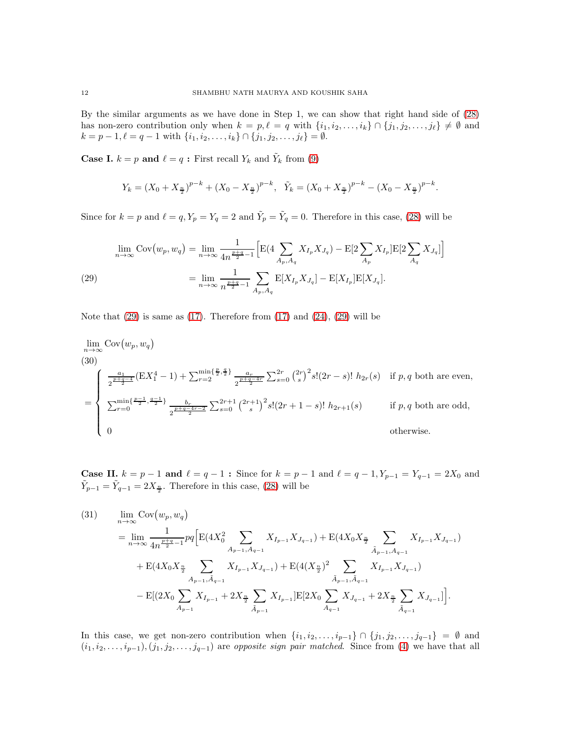By the similar arguments as we have done in Step 1, we can show that right hand side of [\(28\)](#page-10-1) has non-zero contribution only when  $k = p, \ell = q$  with  $\{i_1, i_2, \ldots, i_k\} \cap \{j_1, j_2, \ldots, j_\ell\} \neq \emptyset$  and  $k = p - 1, \ell = q - 1$  with  $\{i_1, i_2, \ldots, i_k\} \cap \{j_1, j_2, \ldots, j_\ell\} = \emptyset$ .

**Case I.**  $k = p$  and  $\ell = q$ : First recall  $Y_k$  and  $\tilde{Y}_k$  from [\(9\)](#page-4-2)

$$
Y_k = (X_0 + X_{\frac{n}{2}})^{p-k} + (X_0 - X_{\frac{n}{2}})^{p-k}, \quad \tilde{Y}_k = (X_0 + X_{\frac{n}{2}})^{p-k} - (X_0 - X_{\frac{n}{2}})^{p-k}.
$$

Since for  $k = p$  and  $\ell = q$ ,  $Y_p = Y_q = 2$  and  $\tilde{Y}_p = \tilde{Y}_q = 0$ . Therefore in this case, [\(28\)](#page-10-1) will be

<span id="page-11-0"></span>
$$
\lim_{n \to \infty} \text{Cov}(w_p, w_q) = \lim_{n \to \infty} \frac{1}{4n^{\frac{p+q}{2}-1}} \Big[ \text{E}(4 \sum_{A_p, A_q} X_{I_p} X_{J_q}) - \text{E}[2 \sum_{A_p} X_{I_p}] \text{E}[2 \sum_{A_q} X_{J_q}] \Big]
$$
\n
$$
(29) \qquad \qquad = \lim_{n \to \infty} \frac{1}{n^{\frac{p+q}{2}-1}} \sum_{A_p, A_q} \text{E}[X_{I_p} X_{J_q}] - \text{E}[X_{I_p}] \text{E}[X_{J_q}].
$$

Note that  $(29)$  is same as  $(17)$ . Therefore from  $(17)$  and  $(24)$ ,  $(29)$  will be

<span id="page-11-2"></span>
$$
\lim_{n \to \infty} \text{Cov}(w_p, w_q)
$$
\n(30)\n
$$
\int \frac{1}{2^{\frac{p+q-4}{2}}} (EX_1^4 - 1) + \sum_{r=2}^{\min\{\frac{p}{2}, \frac{q}{2}\}} \frac{a_r}{2^{\frac{p+q-4r}{2}}} \sum_{s=0}^{2r} {2r \choose s}^2 s! (2r - s)! h_{2r}(s) \text{ if } p, q \text{ both are even,}
$$
\n
$$
= \begin{cases}\n\sum_{r=0}^{\min\{\frac{p-1}{2}, \frac{q-1}{2}\}} \frac{b_r}{2^{\frac{p+q-4r-2}{2}}} \sum_{s=0}^{2r+1} {2r+1 \choose s}^2 s! (2r + 1 - s)! h_{2r+1}(s) \text{ if } p, q \text{ both are odd,}
$$
\n0\notherwise.\n\end{cases}

**Case II.**  $k = p - 1$  and  $l = q - 1$ : Since for  $k = p - 1$  and  $l = q - 1$ ,  $Y_{p-1} = Y_{q-1} = 2X_0$  and  $\tilde{Y}_{p-1} = \tilde{Y}_{q-1} = 2X_{\frac{n}{2}}$ . Therefore in this case, [\(28\)](#page-10-1) will be

<span id="page-11-1"></span>
$$
(31) \qquad \lim_{n \to \infty} \text{Cov}(w_p, w_q)
$$
\n
$$
= \lim_{n \to \infty} \frac{1}{4n^{\frac{p+q}{2}-1}} pq \Big[ \text{E}(4X_0^2 \sum_{A_{p-1}, A_{q-1}} X_{I_{p-1}} X_{J_{q-1}}) + \text{E}(4X_0 X_{\frac{n}{2}} \sum_{\tilde{A}_{p-1}, A_{q-1}} X_{I_{p-1}} X_{J_{q-1}}) + \text{E}(4X_0 X_{\frac{n}{2}} \sum_{A_{p-1}, \tilde{A}_{q-1}} X_{I_{p-1}} X_{J_{q-1}}) + \text{E}(4(X_{\frac{n}{2}})^2 \sum_{\tilde{A}_{p-1}, \tilde{A}_{q-1}} X_{I_{p-1}} X_{J_{q-1}}) - \text{E}[(2X_0 \sum_{A_{p-1}} X_{I_{p-1}} + 2X_{\frac{n}{2}} \sum_{\tilde{A}_{p-1}} X_{I_{p-1}}] \text{E}[2X_0 \sum_{A_{q-1}} X_{J_{q-1}} + 2X_{\frac{n}{2}} \sum_{\tilde{A}_{q-1}} X_{J_{q-1}}] \Big].
$$

In this case, we get non-zero contribution when  $\{i_1, i_2, \ldots, i_{p-1}\} \cap \{j_1, j_2, \ldots, j_{q-1}\} = \emptyset$  and  $(i_1, i_2, \ldots, i_{p-1}), (j_1, j_2, \ldots, j_{q-1})$  are *opposite sign pair matched*. Since from [\(4\)](#page-1-0) we have that all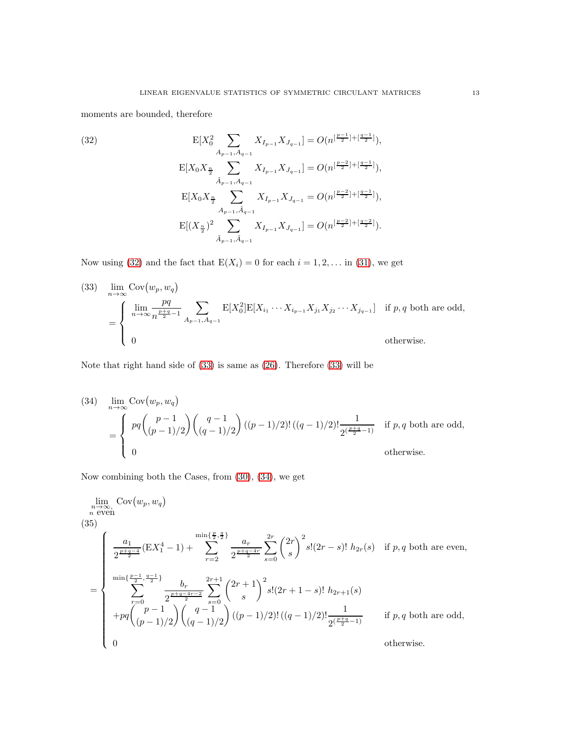moments are bounded, therefore

<span id="page-12-0"></span>(32)  
\n
$$
E[X_0^2 \sum_{A_{p-1}, A_{q-1}} X_{I_{p-1}} X_{J_{q-1}}] = O(n^{\lfloor \frac{p-1}{2} \rfloor + \lfloor \frac{q-1}{2} \rfloor}),
$$
\n
$$
E[X_0 X_{\frac{n}{2}} \sum_{\tilde{A}_{p-1}, A_{q-1}} X_{I_{p-1}} X_{J_{q-1}}] = O(n^{\lfloor \frac{p-2}{2} \rfloor + \lfloor \frac{q-1}{2} \rfloor}),
$$
\n
$$
E[X_0 X_{\frac{n}{2}} \sum_{A_{p-1}, \tilde{A}_{q-1}} X_{I_{p-1}} X_{J_{q-1}}] = O(n^{\lfloor \frac{p-2}{2} \rfloor + \lfloor \frac{q-1}{2} \rfloor}),
$$
\n
$$
E[(X_{\frac{n}{2}})^2 \sum_{\tilde{A}_{p-1}, \tilde{A}_{q-1}} X_{I_{p-1}} X_{J_{q-1}}] = O(n^{\lfloor \frac{p-2}{2} \rfloor + \lfloor \frac{q-2}{2} \rfloor}).
$$

Now using [\(32\)](#page-12-0) and the fact that  $E(X_i) = 0$  for each  $i = 1, 2, \ldots$  in [\(31\)](#page-11-1), we get

<span id="page-12-1"></span>(33) 
$$
\lim_{n \to \infty} Cov(w_p, w_q)
$$
  
= 
$$
\begin{cases} \n\lim_{n \to \infty} \frac{pq}{n^{\frac{p+q}{2}-1}} \sum_{A_{p-1}, A_{q-1}} E[X_0^2] E[X_{i_1} \cdots X_{i_{p-1}} X_{j_1} X_{j_2} \cdots X_{j_{q-1}}] & \text{if } p, q \text{ both are odd,} \\ \n0 & \text{otherwise.} \n\end{cases}
$$

Note that right hand side of [\(33\)](#page-12-1) is same as [\(26\)](#page-10-0). Therefore [\(33\)](#page-12-1) will be

<span id="page-12-2"></span>(34) 
$$
\lim_{n \to \infty} Cov(w_p, w_q)
$$
  
= 
$$
\begin{cases} pq \binom{p-1}{(p-1)/2} \binom{q-1}{(q-1)/2} ((p-1)/2)! ((q-1)/2)! \frac{1}{2^{\left(\frac{p+q}{2}-1\right)}} & \text{if } p, q \text{ both are odd,} \\ 0 & \text{otherwise.} \end{cases}
$$

Now combining both the Cases, from [\(30\)](#page-11-2), [\(34\)](#page-12-2), we get

<span id="page-12-3"></span>
$$
\lim_{n \to \infty} \text{Cov}(w_p, w_q)
$$
\n(35)\n
$$
\begin{cases}\n\frac{a_1}{2^{\frac{p+q-4}{2}}} (\text{E}X_1^4 - 1) + \sum_{r=2}^{\min\{\frac{p}{2}, \frac{q}{2}\}} \frac{a_r}{2^{\frac{p+q-4r}{2}}} \sum_{s=0}^{2r} {2r \choose s}^2 s! (2r-s)! \ h_{2r}(s) & \text{if } p, q \text{ both are even,} \\
\frac{\min\{\frac{p-1}{2}, \frac{q-1}{2}\}}{\sum_{r=0}^{\min\{\frac{p-1}{2}, \frac{q-1}{2}\}} \frac{b_r}{2^{\frac{p+q-4r-2}{2}}} \sum_{s=0}^{2r+1} {2r+1 \choose s}^2 s! (2r+1-s)! \ h_{2r+1}(s) \\
+pq {p-1 \choose (p-1)/2} {q-1 \choose (q-1)/2} ((p-1)/2)! ((q-1)/2)! \frac{1}{2^{\left(\frac{p+q}{2}-1\right)}} & \text{if } p, q \text{ both are odd,} \\
0 & \text{otherwise.}\n\end{cases}
$$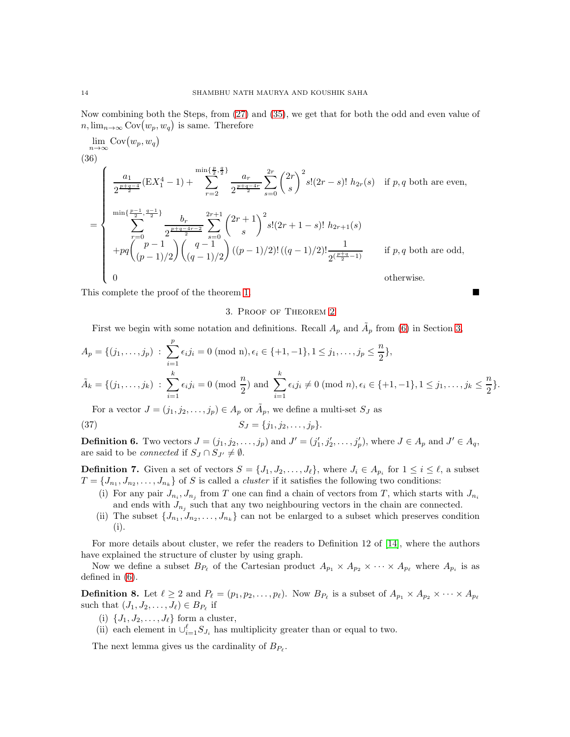Now combining both the Steps, from [\(27\)](#page-10-2) and [\(35\)](#page-12-3), we get that for both the odd and even value of  $n, \lim_{n\to\infty} \text{Cov}(w_p, w_q)$  is same. Therefore

$$
\lim_{n \to \infty} \text{Cov}(w_p, w_q)
$$
\n(36)\n
$$
\int \frac{a_1}{2^{\frac{p+q-4}{2}}} (EX_1^4 - 1) + \sum_{r=2}^{\min\{\frac{p}{2},\frac{q}{2}\}} \frac{a_r}{2^{\frac{p+q-4r}{2}}} \sum_{s=0}^{2r} {2r \choose s}^2 s! (2r-s)! h_{2r}(s) \text{ if } p, q \text{ both are even,}
$$
\n
$$
= \begin{cases}\n\frac{a_1}{2^{\frac{p+q-1}{2}}} (EX_1^4 - 1) + \sum_{r=2}^{\min\{\frac{p}{2},\frac{q}{2}\}} \frac{a_r}{2^{\frac{p+q-4r-2}{2}}} \sum_{s=0}^{2r+1} {2r+1 \choose s}^2 s! (2r+1-s)! h_{2r+1}(s) \\
+pq {p-1 \choose (p-1)/2} {q-1 \choose (q-1)/2} (p-1)/2)! ((q-1)/2)! \frac{1}{2^{(\frac{p+q}{2}-1)}} \text{ if } p, q \text{ both are odd,}
$$
\n
$$
0 \text{ otherwise.}
$$

<span id="page-13-0"></span>This complete the proof of the theorem [1.](#page-1-2)

### 3. Proof of Theorem [2](#page-2-1)

First we begin with some notation and definitions. Recall  $A_p$  and  $\tilde{A}_p$  from [\(6\)](#page-2-2) in Section [3,](#page-13-0)

$$
A_p = \{(j_1, \ldots, j_p) : \sum_{i=1}^p \epsilon_i j_i = 0 \pmod{n}, \epsilon_i \in \{+1, -1\}, 1 \le j_1, \ldots, j_p \le \frac{n}{2}\},\
$$
  

$$
\tilde{A}_k = \{(j_1, \ldots, j_k) : \sum_{i=1}^k \epsilon_i j_i = 0 \pmod{\frac{n}{2}} \text{ and } \sum_{i=1}^k \epsilon_i j_i \ne 0 \pmod{n}, \epsilon_i \in \{+1, -1\}, 1 \le j_1, \ldots, j_k \le \frac{n}{2}\}.
$$

For a vector  $J = (j_1, j_2, \dots, j_p) \in A_p$  or  $\tilde{A}_p$ , we define a multi-set  $S_J$  as

(37) 
$$
S_J = \{j_1, j_2, \ldots, j_p\}.
$$

**Definition 6.** Two vectors  $J = (j_1, j_2, \ldots, j_p)$  and  $J' = (j'_1, j'_2, \ldots, j'_p)$ , where  $J \in A_p$  and  $J' \in A_q$ , are said to be *connected* if  $S_J \cap S_{J'} \neq \emptyset$ .

**Definition 7.** Given a set of vectors  $S = \{J_1, J_2, \ldots, J_\ell\}$ , where  $J_i \in A_{p_i}$  for  $1 \leq i \leq \ell$ , a subset  $T = \{J_{n_1}, J_{n_2}, \ldots, J_{n_k}\}\$  of S is called a *cluster* if it satisfies the following two conditions:

- (i) For any pair  $J_{n_i}, J_{n_j}$  from T one can find a chain of vectors from T, which starts with  $J_{n_i}$ and ends with  $J_{n_j}$  such that any two neighbouring vectors in the chain are connected.
- (ii) The subset  $\{J_{n_1}, J_{n_2}, \ldots, J_{n_k}\}$  can not be enlarged to a subset which preserves condition (i).

For more details about cluster, we refer the readers to Definition 12 of [\[14\]](#page-18-12), where the authors have explained the structure of cluster by using graph.

Now we define a subset  $B_{P_\ell}$  of the Cartesian product  $A_{p_1} \times A_{p_2} \times \cdots \times A_{p_\ell}$  where  $A_{p_i}$  is as defined in [\(6\)](#page-2-2).

<span id="page-13-1"></span>**Definition 8.** Let  $\ell \geq 2$  and  $P_{\ell} = (p_1, p_2, \ldots, p_{\ell})$ . Now  $B_{P_{\ell}}$  is a subset of  $A_{p_1} \times A_{p_2} \times \cdots \times A_{p_{\ell}}$ such that  $(J_1, J_2, \ldots, J_\ell) \in B_{P_\ell}$  if

- (i)  $\{J_1, J_2, \ldots, J_\ell\}$  form a cluster,
- (ii) each element in  $\bigcup_{i=1}^{\ell} S_{J_i}$  has multiplicity greater than or equal to two.

The next lemma gives us the cardinality of  $B_{P_{\ell}}$ .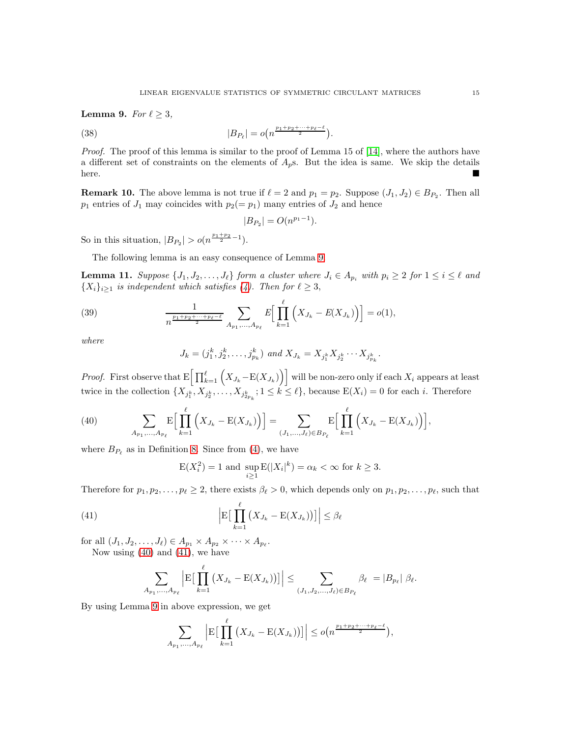<span id="page-14-0"></span>Lemma 9. For  $\ell \geq 3$ ,

(38) 
$$
|B_{P_{\ell}}| = o(n^{\frac{p_1+p_2+\cdots+p_{\ell}-\ell}{2}})
$$

*Proof.* The proof of this lemma is similar to the proof of Lemma 15 of [\[14\]](#page-18-12), where the authors have a different set of constraints on the elements of  $A_p$ s. But the idea is same. We skip the details here.

.

**Remark 10.** The above lemma is not true if  $\ell = 2$  and  $p_1 = p_2$ . Suppose  $(J_1, J_2) \in B_{P_2}$ . Then all  $p_1$  entries of  $J_1$  may coincides with  $p_2(= p_1)$  many entries of  $J_2$  and hence

$$
|B_{P_2}| = O(n^{p_1-1}).
$$

So in this situation,  $|B_{P_2}| > o(n^{\frac{p_1+p_2}{2}-1}).$ 

The following lemma is an easy consequence of Lemma [9.](#page-14-0)

<span id="page-14-3"></span>**Lemma 11.** Suppose  $\{J_1, J_2, \ldots, J_\ell\}$  form a cluster where  $J_i \in A_{p_i}$  with  $p_i \geq 2$  for  $1 \leq i \leq \ell$  and  ${X_i}_{i\geq 1}$  is independent which satisfies [\(4\)](#page-1-0). Then for  $\ell \geq 3$ ,

(39) 
$$
\frac{1}{n^{\frac{p_1+p_2+\cdots+p_\ell-\ell}{2}}}\sum_{A_{p_1},...,A_{p_\ell}} E\Big[\prod_{k=1}^\ell \Big(X_{J_k}-E(X_{J_k})\Big)\Big]=o(1),
$$

where

$$
J_k = (j_1^k, j_2^k, \dots, j_{p_k}^k) \text{ and } X_{J_k} = X_{j_1^k} X_{j_2^k} \cdots X_{j_{p_k}^k}.
$$

*Proof.* First observe that  $E\left[\prod_{k=1}^{\ell} (X_{J_k}-E(X_{J_k}))\right]$  will be non-zero only if each  $X_i$  appears at least twice in the collection  $\{X_{j_1^k}, X_{j_2^k}, \ldots, X_{j_{2p_k}^k}; 1 \leq k \leq \ell\}$ , because  $E(X_i) = 0$  for each i. Therefore

<span id="page-14-1"></span>(40) 
$$
\sum_{A_{p_1},...,A_{p_\ell}} \mathbb{E}\Big[\prod_{k=1}^{\ell} \Big(X_{J_k} - \mathbb{E}(X_{J_k})\Big)\Big] = \sum_{(J_1,...,J_\ell) \in B_{P_\ell}} \mathbb{E}\Big[\prod_{k=1}^{\ell} \Big(X_{J_k} - \mathbb{E}(X_{J_k})\Big)\Big],
$$

where  $B_{P_\ell}$  as in Definition [8.](#page-13-1) Since from [\(4\)](#page-1-0), we have

<span id="page-14-2"></span>
$$
E(X_i^2) = 1 \text{ and } \sup_{i \ge 1} E(|X_i|^k) = \alpha_k < \infty \text{ for } k \ge 3.
$$

Therefore for  $p_1, p_2, \ldots, p_\ell \geq 2$ , there exists  $\beta_\ell > 0$ , which depends only on  $p_1, p_2, \ldots, p_\ell$ , such that

(41) 
$$
\left| \mathbf{E} \left[ \prod_{k=1}^{\ell} \left( X_{J_k} - \mathbf{E}(X_{J_k}) \right) \right] \right| \leq \beta_{\ell}
$$

for all  $(J_1, J_2, \ldots, J_\ell) \in A_{p_1} \times A_{p_2} \times \cdots \times A_{p_\ell}$ .

Now using [\(40\)](#page-14-1) and [\(41\)](#page-14-2), we have

$$
\sum_{A_{p_1},...,A_{p_\ell}} \left| E \left[ \prod_{k=1}^{\ell} \left( X_{J_k} - E(X_{J_k}) \right) \right] \right| \leq \sum_{(J_1,J_2,...,J_\ell) \in B_{P_\ell}} \beta_\ell = |B_{p_\ell}| \beta_\ell.
$$

By using Lemma [9](#page-14-0) in above expression, we get

$$
\sum_{A_{p_1},\ldots,A_{p_\ell}} \left| \mathrm{E}\big[\prod_{k=1}^\ell \left(X_{J_k}-\mathrm{E}(X_{J_k})\right)\big]\right| \le o\big(n^{\frac{p_1+p_2+\cdots+p_\ell-\ell}{2}}\big),
$$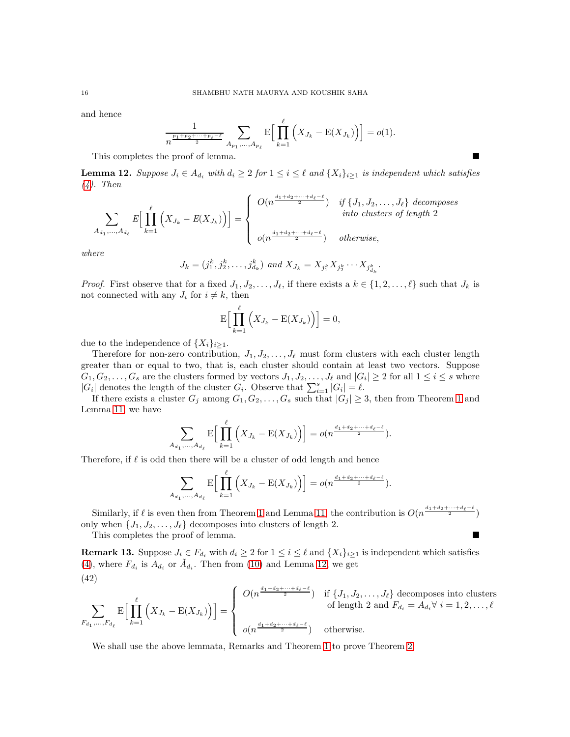and hence

$$
\frac{1}{n^{\frac{p_1+p_2+\cdots+p_\ell-\ell}{2}}}\sum_{A_{p_1},...,A_{p_\ell}} E\Big[\prod_{k=1}^\ell \Big(X_{J_k}-E(X_{J_k})\Big)\Big] = o(1).
$$

This completes the proof of lemma.

<span id="page-15-0"></span>**Lemma 12.** Suppose  $J_i \in A_{d_i}$  with  $d_i \geq 2$  for  $1 \leq i \leq \ell$  and  $\{X_i\}_{i \geq 1}$  is independent which satisfies [\(4\)](#page-1-0). Then

$$
\sum_{A_{d_1},\ldots,A_{d_\ell}} E\Big[\prod_{k=1}^{\ell} \Big(X_{J_k} - E(X_{J_k})\Big)\Big] = \begin{cases} O(n^{\frac{d_1+d_2+\cdots+d_\ell-\ell}{2}}) & \text{if } \{J_1,J_2,\ldots,J_\ell\} \text{ decomposes} \\ \text{into clusters of length 2} \\ o(n^{\frac{d_1+d_2+\cdots+d_\ell-\ell}{2}}) & \text{otherwise,} \end{cases}
$$

where

$$
J_k = (j_1^k, j_2^k, \dots, j_{d_k}^k) \text{ and } X_{J_k} = X_{j_1^k} X_{j_2^k} \cdots X_{j_{d_k}^k}.
$$

*Proof.* First observe that for a fixed  $J_1, J_2, \ldots, J_\ell$ , if there exists a  $k \in \{1, 2, \ldots, \ell\}$  such that  $J_k$  is not connected with any  $J_i$  for  $i \neq k$ , then

$$
\mathrm{E}\Big[\prod_{k=1}^{\ell}\Big(X_{J_k}-\mathrm{E}(X_{J_k})\Big)\Big]=0,
$$

due to the independence of  $\{X_i\}_{i\geq 1}$ .

Therefore for non-zero contribution,  $J_1, J_2, \ldots, J_\ell$  must form clusters with each cluster length greater than or equal to two, that is, each cluster should contain at least two vectors. Suppose  $G_1, G_2, \ldots, G_s$  are the clusters formed by vectors  $J_1, J_2, \ldots, J_\ell$  and  $|G_i| \geq 2$  for all  $1 \leq i \leq s$  where  $|G_i|$  denotes the length of the cluster  $G_i$ . Observe that  $\sum_{i=1}^s |G_i| = \ell$ .

If there exists a cluster  $G_j$  among  $G_1, G_2, \ldots, G_s$  such that  $|G_j| \geq 3$ , then from Theorem [1](#page-1-2) and Lemma [11,](#page-14-3) we have

$$
\sum_{A_{d_1},...,A_{d_\ell}} \mathbb{E}\Big[\prod_{k=1}^{\ell} \Big(X_{J_k} - \mathbb{E}(X_{J_k})\Big)\Big] = o(n^{\frac{d_1+d_2+\dots+d_\ell-\ell}{2}}).
$$

Therefore, if  $\ell$  is odd then there will be a cluster of odd length and hence

$$
\sum_{A_{d_1},\ldots,A_{d_\ell}} \mathrm{E}\Big[\prod_{k=1}^\ell \Big(X_{J_k}-\mathrm{E}(X_{J_k})\Big)\Big]=o(n^{\frac{d_1+d_2+\cdots+d_\ell-\ell}{2}}).
$$

Similarly, if  $\ell$  is even then from Theorem [1](#page-1-2) and Lemma [11,](#page-14-3) the contribution is  $O(n^{\frac{d_1+d_2+\cdots+d_\ell-\ell}{2}})$ only when  $\{J_1, J_2, \ldots, J_\ell\}$  decomposes into clusters of length 2.

This completes the proof of lemma.

<span id="page-15-1"></span>**Remark 13.** Suppose  $J_i \in F_{d_i}$  with  $d_i \geq 2$  for  $1 \leq i \leq \ell$  and  $\{X_i\}_{i \geq 1}$  is independent which satisfies [\(4\)](#page-1-0), where  $F_{d_i}$  is  $A_{d_i}$  or  $\tilde{A}_{d_i}$ . Then from [\(10\)](#page-4-3) and Lemma [12,](#page-15-0) we get (42)

$$
\sum_{F_{d_1},\ldots,F_{d_\ell}} \mathbb{E}\Big[\prod_{k=1}^\ell \Big(X_{J_k} - \mathbb{E}(X_{J_k})\Big)\Big] = \begin{cases} O(n^{\frac{d_1+d_2+\cdots+d_\ell-\ell}{2}}) & \text{if } \{J_1, J_2, \ldots, J_\ell\} \text{ decomposes into clusters} \\ & \text{of length 2 and } F_{d_i} = A_{d_i} \forall i = 1, 2, \ldots, \ell \\ o(n^{\frac{d_1+d_2+\cdots+d_\ell-\ell}{2}}) & \text{otherwise.} \end{cases}
$$

We shall use the above lemmata, Remarks and Theorem [1](#page-1-2) to prove Theorem [2.](#page-2-1)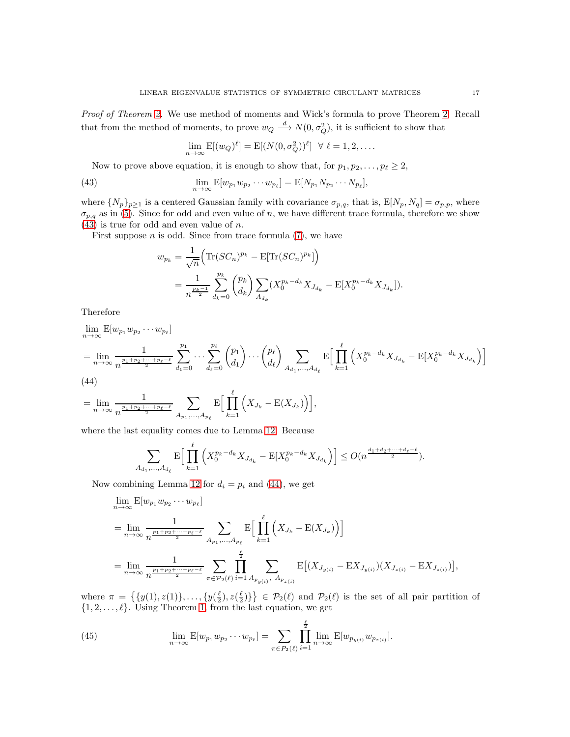Proof of Theorem [2.](#page-2-1) We use method of moments and Wick's formula to prove Theorem 2. Recall that from the method of moments, to prove  $w_Q \stackrel{d}{\longrightarrow} N(0, \sigma_Q^2)$ , it is sufficient to show that

$$
\lim_{n \to \infty} \mathbf{E}[(w_Q)^{\ell}] = \mathbf{E}[(N(0, \sigma_Q^2))^{\ell}] \quad \forall \ell = 1, 2, \dots
$$

Now to prove above equation, it is enough to show that, for  $p_1, p_2, \ldots, p_\ell \geq 2$ ,

<span id="page-16-0"></span>(43) 
$$
\lim_{n \to \infty} \mathbb{E}[w_{p_1} w_{p_2} \cdots w_{p_\ell}] = \mathbb{E}[N_{p_1} N_{p_2} \cdots N_{p_\ell}],
$$

where  $\{N_p\}_{p\geq 1}$  is a centered Gaussian family with covariance  $\sigma_{p,q}$ , that is,  $E[N_p, N_q] = \sigma_{p,p}$ , where  $\sigma_{p,q}$  as in [\(5\)](#page-1-1). Since for odd and even value of n, we have different trace formula, therefore we show  $(43)$  is true for odd and even value of n.

First suppose  $n$  is odd. Since from trace formula  $(7)$ , we have

$$
w_{p_k} = \frac{1}{\sqrt{n}} \Big( \text{Tr}(SC_n)^{p_k} - \text{E}[\text{Tr}(SC_n)^{p_k}] \Big)
$$
  
= 
$$
\frac{1}{n^{\frac{p_k-1}{2}}} \sum_{d_k=0}^{p_k} {p_k \choose d_k} \sum_{A_{d_k}} (X_0^{p_k-d_k} X_{J_{d_k}} - \text{E}[X_0^{p_k-d_k} X_{J_{d_k}}]).
$$

Therefore

$$
\lim_{n \to \infty} \mathbb{E}[w_{p_1} w_{p_2} \cdots w_{p_\ell}]
$$
\n
$$
= \lim_{n \to \infty} \frac{1}{n^{\frac{p_1 + p_2 + \cdots + p_\ell - \ell}{2}}} \sum_{d_1 = 0}^{p_1} \cdots \sum_{d_\ell = 0}^{p_\ell} {p_1 \choose d_1} \cdots {p_\ell \choose d_\ell} \sum_{A_{d_1}, \dots, A_{d_\ell}} \mathbb{E}\Big[\prod_{k=1}^\ell \Big(X_0^{p_k - d_k} X_{J_{d_k}} - \mathbb{E}[X_0^{p_k - d_k} X_{J_{d_k}}\Big)\Big]
$$
\n(44)

<span id="page-16-1"></span>
$$
(44)
$$

 $\overline{\mathcal{A}}$ 

$$
= \lim_{n \to \infty} \frac{1}{n^{\frac{p_1+p_2+\cdots+p_\ell-\ell}{2}}} \sum_{A_{p_1},...,A_{p_\ell}} \mathbb{E}\Big[\prod_{k=1}^\ell \Big(X_{J_k} - \mathbb{E}(X_{J_k})\Big)\Big],
$$

where the last equality comes due to Lemma [12.](#page-15-0) Because  $\theta$ 

$$
\sum_{d_1,\dots,d_{d_\ell}} \mathbb{E}\Big[\prod_{k=1}^{\ell} \Big(X_0^{p_k - d_k} X_{J_{d_k}} - \mathbb{E}[X_0^{p_k - d_k} X_{J_{d_k}}\Big)\Big] \leq O(n^{\frac{d_1 + d_2 + \dots + d_\ell - \ell}{2}}).
$$

Now combining Lemma [12](#page-15-0) for  $d_i = p_i$  and [\(44\)](#page-16-1), we get

$$
\lim_{n \to \infty} E[w_{p_1} w_{p_2} \cdots w_{p_\ell}]
$$
\n
$$
= \lim_{n \to \infty} \frac{1}{n^{\frac{p_1 + p_2 + \dots + p_\ell - \ell}{2}}} \sum_{A_{p_1}, \dots, A_{p_\ell}} E\Big[\prod_{k=1}^\ell (X_{J_k} - E(X_{J_k})\Big)\Big]
$$
\n
$$
= \lim_{n \to \infty} \frac{1}{n^{\frac{p_1 + p_2 + \dots + p_\ell - \ell}{2}}} \sum_{\pi \in \mathcal{P}_2(\ell)} \prod_{i=1}^{\frac{\ell}{2}} \sum_{A_{p_{y(i)}}, A_{p_{z(i)}}} E\big[(X_{J_{y(i)}} - E X_{J_{y(i)}})(X_{J_{z(i)}} - E X_{J_{z(i)}})\big],
$$

where  $\pi = \{\{y(1), z(1)\}, \ldots, \{y(\frac{\ell}{2}), z(\frac{\ell}{2})\}\}\in \mathcal{P}_2(\ell)$  and  $\mathcal{P}_2(\ell)$  is the set of all pair partition of  $\{1, 2, \ldots, \ell\}$ . Using Theorem [1,](#page-1-2) from the last equation, we get

<span id="page-16-2"></span>(45) 
$$
\lim_{n \to \infty} \mathbb{E}[w_{p_1} w_{p_2} \cdots w_{p_\ell}] = \sum_{\pi \in P_2(\ell)} \prod_{i=1}^{\frac{\ell}{2}} \lim_{n \to \infty} \mathbb{E}[w_{p_{y(i)}} w_{p_{z(i)}}].
$$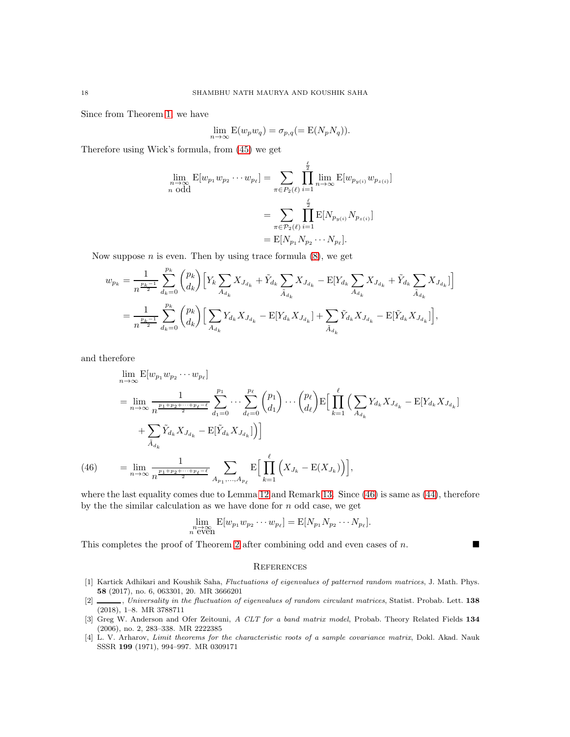Since from Theorem [1,](#page-1-2) we have

$$
\lim_{n \to \infty} \mathcal{E}(w_p w_q) = \sigma_{p,q} (= \mathcal{E}(N_p N_q)).
$$

Therefore using Wick's formula, from [\(45\)](#page-16-2) we get

$$
\lim_{n \to \infty} \mathbb{E}[w_{p_1} w_{p_2} \cdots w_{p_\ell}] = \sum_{\pi \in P_2(\ell)} \prod_{i=1}^{\frac{\ell}{2}} \lim_{n \to \infty} \mathbb{E}[w_{p_{y(i)}} w_{p_{z(i)}}]
$$
\n
$$
= \sum_{\pi \in P_2(\ell)} \prod_{i=1}^{\frac{\ell}{2}} \mathbb{E}[N_{p_{y(i)}} N_{p_{z(i)}}]
$$
\n
$$
= \mathbb{E}[N_{p_1} N_{p_2} \cdots N_{p_\ell}].
$$

Now suppose  $n$  is even. Then by using trace formula  $(8)$ , we get

$$
w_{p_k} = \frac{1}{n^{\frac{p_k-1}{2}}} \sum_{d_k=0}^{p_k} {p_k \choose d_k} \Big[ Y_k \sum_{A_{d_k}} X_{J_{d_k}} + \tilde{Y}_{d_k} \sum_{\tilde{A}_{d_k}} X_{J_{d_k}} - \mathbb{E}[Y_{d_k} \sum_{A_{d_k}} X_{J_{d_k}} + \tilde{Y}_{d_k} \sum_{\tilde{A}_{d_k}} X_{J_{d_k}}] \Big]
$$
  

$$
= \frac{1}{n^{\frac{p_k-1}{2}}} \sum_{d_k=0}^{p_k} {p_k \choose d_k} \Big[ \sum_{A_{d_k}} Y_{d_k} X_{J_{d_k}} - \mathbb{E}[Y_{d_k} X_{J_{d_k}}] + \sum_{\tilde{A}_{d_k}} \tilde{Y}_{d_k} X_{J_{d_k}} - \mathbb{E}[\tilde{Y}_{d_k} X_{J_{d_k}}] \Big],
$$

and therefore

$$
\lim_{n \to \infty} \mathbb{E}[w_{p_1} w_{p_2} \cdots w_{p_\ell}]
$$
\n
$$
= \lim_{n \to \infty} \frac{1}{n^{\frac{p_1 + p_2 + \cdots + p_\ell - \ell}{2}}} \sum_{d_1 = 0}^{p_1} \cdots \sum_{d_\ell = 0}^{p_\ell} {p_1 \choose d_1} \cdots {p_\ell \choose d_\ell} \mathbb{E} \Big[ \prod_{k=1}^{\ell} \Big( \sum_{A_{d_k}} Y_{d_k} X_{J_{d_k}} - \mathbb{E}[Y_{d_k} X_{J_{d_k}}] \Big) + \sum_{\tilde{A}_{d_k}} \tilde{Y}_{d_k} X_{J_{d_k}} - \mathbb{E}[\tilde{Y}_{d_k} X_{J_{d_k}}] \Big) \Big]
$$
\n
$$
(46) \qquad = \lim_{n \to \infty} \frac{1}{n^{\frac{p_1 + p_2 + \cdots + p_\ell - \ell}{2}}} \sum_{A_{p_1}, \dots, A_{p_\ell}} \mathbb{E} \Big[ \prod_{k=1}^{\ell} \Big( X_{J_k} - \mathbb{E}(X_{J_k}) \Big) \Big],
$$

<span id="page-17-4"></span>where the last equality comes due to Lemma [12](#page-15-0) and Remark [13.](#page-15-1) Since [\(46\)](#page-17-4) is same as [\(44\)](#page-16-1), therefore by the the similar calculation as we have done for  $n$  odd case, we get

$$
\lim_{\substack{n \to \infty \\ n \text{ even}}} \mathbb{E}[w_{p_1} w_{p_2} \cdots w_{p_\ell}] = \mathbb{E}[N_{p_1} N_{p_2} \cdots N_{p_\ell}].
$$

This completes the proof of Theorem [2](#page-2-1) after combining odd and even cases of  $n$ .

### **REFERENCES**

- <span id="page-17-2"></span>[1] Kartick Adhikari and Koushik Saha, Fluctuations of eigenvalues of patterned random matrices, J. Math. Phys. 58 (2017), no. 6, 063301, 20. MR 3666201
- <span id="page-17-3"></span>[2] , Universality in the fluctuation of eigenvalues of random circulant matrices, Statist. Probab. Lett. 138 (2018), 1–8. MR 3788711
- <span id="page-17-1"></span>[3] Greg W. Anderson and Ofer Zeitouni, A CLT for a band matrix model, Probab. Theory Related Fields 134 (2006), no. 2, 283–338. MR 2222385
- <span id="page-17-0"></span>[4] L. V. Arharov, Limit theorems for the characteristic roots of a sample covariance matrix, Dokl. Akad. Nauk SSSR 199 (1971), 994–997. MR 0309171